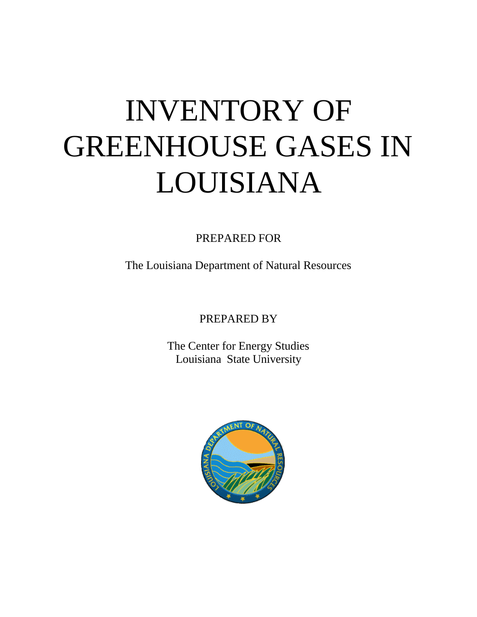# INVENTORY OF GREENHOUSE GASES IN LOUISIANA

PREPARED FOR

The Louisiana Department of Natural Resources

PREPARED BY

The Center for Energy Studies Louisiana State University

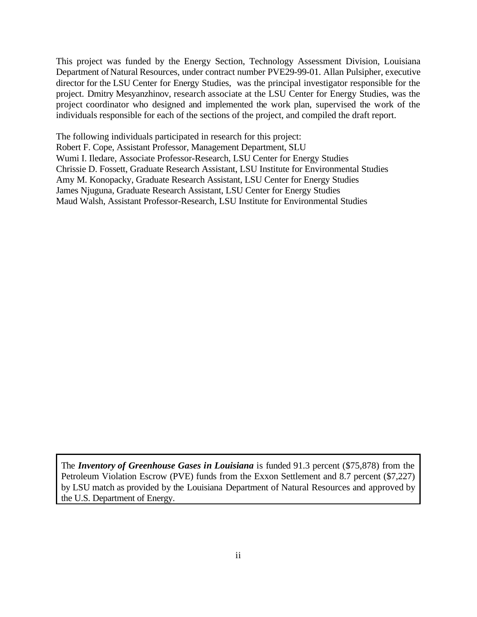This project was funded by the Energy Section, Technology Assessment Division, Louisiana Department of Natural Resources, under contract number PVE29-99-01. Allan Pulsipher, executive director for the LSU Center for Energy Studies, was the principal investigator responsible for the project. Dmitry Mesyanzhinov, research associate at the LSU Center for Energy Studies, was the project coordinator who designed and implemented the work plan, supervised the work of the individuals responsible for each of the sections of the project, and compiled the draft report.

The following individuals participated in research for this project: Robert F. Cope, Assistant Professor, Management Department, SLU Wumi I. Iledare, Associate Professor-Research, LSU Center for Energy Studies Chrissie D. Fossett, Graduate Research Assistant, LSU Institute for Environmental Studies Amy M. Konopacky, Graduate Research Assistant, LSU Center for Energy Studies James Njuguna, Graduate Research Assistant, LSU Center for Energy Studies Maud Walsh, Assistant Professor-Research, LSU Institute for Environmental Studies

The *Inventory of Greenhouse Gases in Louisiana* is funded 91.3 percent (\$75,878) from the Petroleum Violation Escrow (PVE) funds from the Exxon Settlement and 8.7 percent (\$7,227) by LSU match as provided by the Louisiana Department of Natural Resources and approved by the U.S. Department of Energy.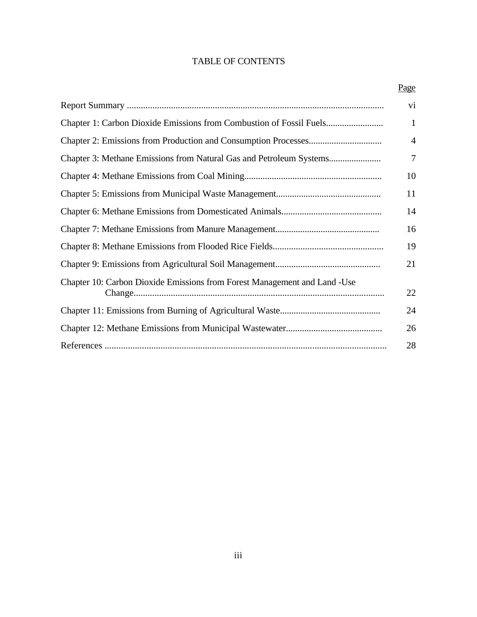# TABLE OF CONTENTS

|                                                                           | Page           |
|---------------------------------------------------------------------------|----------------|
|                                                                           | vi             |
| Chapter 1: Carbon Dioxide Emissions from Combustion of Fossil Fuels       | 1              |
|                                                                           | $\overline{4}$ |
|                                                                           | 7              |
|                                                                           | 10             |
|                                                                           | 11             |
|                                                                           | 14             |
|                                                                           | 16             |
|                                                                           | 19             |
|                                                                           | 21             |
| Chapter 10: Carbon Dioxide Emissions from Forest Management and Land -Use | 22             |
|                                                                           | 24             |
|                                                                           | 26             |
|                                                                           | 28             |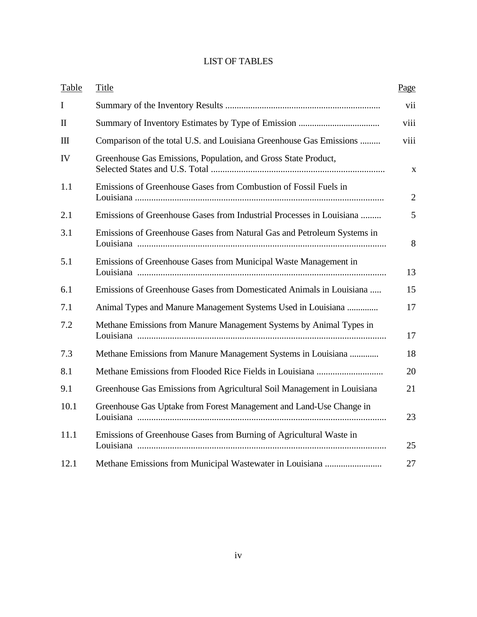# LIST OF TABLES

| Table        | Title                                                                   | Page           |
|--------------|-------------------------------------------------------------------------|----------------|
| $\mathbf I$  |                                                                         | vii            |
| $\mathbf{I}$ |                                                                         | viii           |
| $\mathbf{I}$ | Comparison of the total U.S. and Louisiana Greenhouse Gas Emissions     | viii           |
| <b>IV</b>    | Greenhouse Gas Emissions, Population, and Gross State Product,          | X              |
| 1.1          | Emissions of Greenhouse Gases from Combustion of Fossil Fuels in        | $\overline{2}$ |
| 2.1          | Emissions of Greenhouse Gases from Industrial Processes in Louisiana    | 5              |
| 3.1          | Emissions of Greenhouse Gases from Natural Gas and Petroleum Systems in | 8              |
| 5.1          | Emissions of Greenhouse Gases from Municipal Waste Management in        | 13             |
| 6.1          | Emissions of Greenhouse Gases from Domesticated Animals in Louisiana    | 15             |
| 7.1          | Animal Types and Manure Management Systems Used in Louisiana            | 17             |
| 7.2          | Methane Emissions from Manure Management Systems by Animal Types in     | 17             |
| 7.3          | Methane Emissions from Manure Management Systems in Louisiana           | 18             |
| 8.1          |                                                                         | 20             |
| 9.1          | Greenhouse Gas Emissions from Agricultural Soil Management in Louisiana | 21             |
| 10.1         | Greenhouse Gas Uptake from Forest Management and Land-Use Change in     | 23             |
| 11.1         | Emissions of Greenhouse Gases from Burning of Agricultural Waste in     | 25             |
| 12.1         |                                                                         | 27             |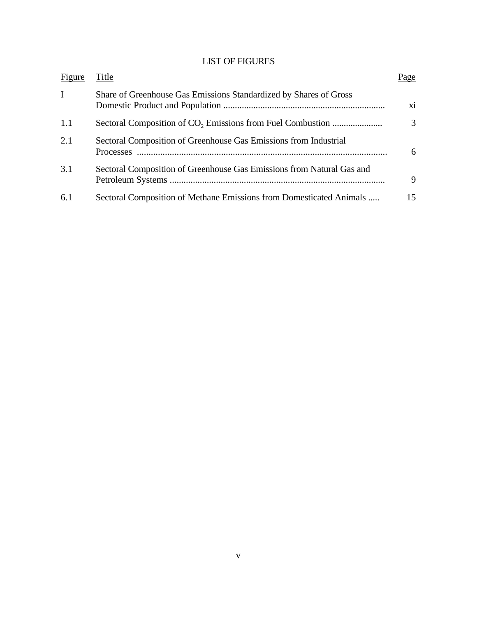# LIST OF FIGURES

| Figure   | Title                                                                 | Page |
|----------|-----------------------------------------------------------------------|------|
| $\bf{I}$ | Share of Greenhouse Gas Emissions Standardized by Shares of Gross     | xi   |
| 1.1      |                                                                       | 3    |
| 2.1      | Sectoral Composition of Greenhouse Gas Emissions from Industrial      | 6    |
| 3.1      | Sectoral Composition of Greenhouse Gas Emissions from Natural Gas and | 9    |
| 6.1      | Sectoral Composition of Methane Emissions from Domesticated Animals   | 15   |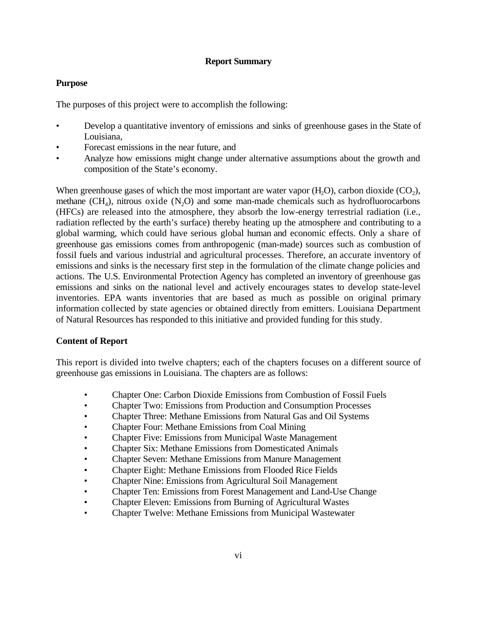# **Report Summary**

# **Purpose**

The purposes of this project were to accomplish the following:

- Develop a quantitative inventory of emissions and sinks of greenhouse gases in the State of Louisiana,
- Forecast emissions in the near future, and
- Analyze how emissions might change under alternative assumptions about the growth and composition of the State's economy.

When greenhouse gases of which the most important are water vapor  $(H_2O)$ , carbon dioxide  $(CO_2)$ , methane  $(CH_4)$ , nitrous oxide  $(N_2O)$  and some man-made chemicals such as hydrofluorocarbons (HFCs) are released into the atmosphere, they absorb the low-energy terrestrial radiation (i.e., radiation reflected by the earth's surface) thereby heating up the atmosphere and contributing to a global warming, which could have serious global human and economic effects. Only a share of greenhouse gas emissions comes from anthropogenic (man-made) sources such as combustion of fossil fuels and various industrial and agricultural processes. Therefore, an accurate inventory of emissions and sinks is the necessary first step in the formulation of the climate change policies and actions. The U.S. Environmental Protection Agency has completed an inventory of greenhouse gas emissions and sinks on the national level and actively encourages states to develop state-level inventories. EPA wants inventories that are based as much as possible on original primary information collected by state agencies or obtained directly from emitters. Louisiana Department of Natural Resources has responded to this initiative and provided funding for this study.

# **Content of Report**

This report is divided into twelve chapters; each of the chapters focuses on a different source of greenhouse gas emissions in Louisiana. The chapters are as follows:

- Chapter One: Carbon Dioxide Emissions from Combustion of Fossil Fuels
- Chapter Two: Emissions from Production and Consumption Processes
- Chapter Three: Methane Emissions from Natural Gas and Oil Systems
- Chapter Four: Methane Emissions from Coal Mining
- Chapter Five: Emissions from Municipal Waste Management
- Chapter Six: Methane Emissions from Domesticated Animals
- Chapter Seven: Methane Emissions from Manure Management
- Chapter Eight: Methane Emissions from Flooded Rice Fields
- Chapter Nine: Emissions from Agricultural Soil Management
- Chapter Ten: Emissions from Forest Management and Land-Use Change
- Chapter Eleven: Emissions from Burning of Agricultural Wastes
- Chapter Twelve: Methane Emissions from Municipal Wastewater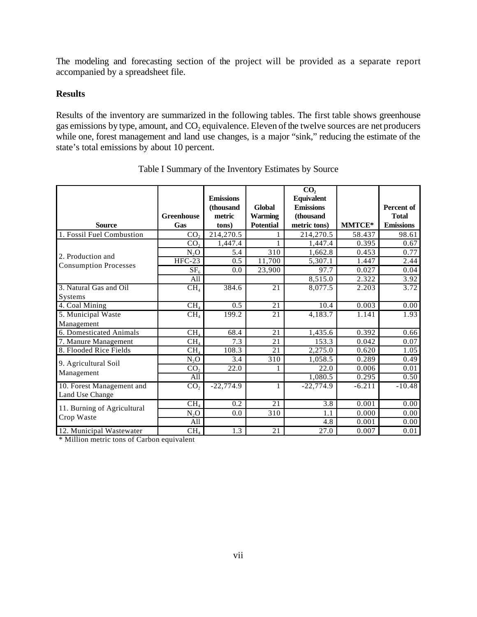The modeling and forecasting section of the project will be provided as a separate report accompanied by a spreadsheet file.

## **Results**

Results of the inventory are summarized in the following tables. The first table shows greenhouse gas emissions by type, amount, and  $CO<sub>2</sub>$  equivalence. Eleven of the twelve sources are net producers while one, forest management and land use changes, is a major "sink," reducing the estimate of the state's total emissions by about 10 percent.

| <b>Source</b>                                | <b>Greenhouse</b><br>Gas | <b>Emissions</b><br>(thousand<br>metric<br>tons) | Global<br>Warming<br><b>Potential</b> | $\overline{CO_2}$<br><b>Equivalent</b><br><b>Emissions</b><br>(thousand<br>metric tons) | MMTCE*   | Percent of<br><b>Total</b><br><b>Emissions</b> |
|----------------------------------------------|--------------------------|--------------------------------------------------|---------------------------------------|-----------------------------------------------------------------------------------------|----------|------------------------------------------------|
| 1. Fossil Fuel Combustion                    | CO <sub>2</sub>          | 214,270.5                                        |                                       | 214,270.5                                                                               | 58.437   | 98.61                                          |
|                                              | CO <sub>2</sub>          | 1,447.4                                          |                                       | 1.447.4                                                                                 | 0.395    | 0.67                                           |
| 2. Production and                            | N <sub>2</sub> O         | 5.4                                              | 310                                   | 1,662.8                                                                                 | 0.453    | 0.77                                           |
|                                              | $HFC-23$                 | 0.5                                              | 11,700                                | 5,307.1                                                                                 | 1.447    | 2.44                                           |
| <b>Consumption Processes</b>                 | SF <sub>6</sub>          | 0.0                                              | 23,900                                | 97.7                                                                                    | 0.027    | 0.04                                           |
|                                              | All                      |                                                  |                                       | 8,515.0                                                                                 | 2.322    | 3.92                                           |
| 3. Natural Gas and Oil<br>Systems            | $\overline{\text{CH}}_4$ | 384.6                                            | 21                                    | 8,077.5                                                                                 | 2.203    | 3.72                                           |
| 4. Coal Mining                               | CH <sub>4</sub>          | 0.5                                              | 21                                    | 10.4                                                                                    | 0.003    | 0.00                                           |
| 5. Municipal Waste<br>Management             | CH <sub>4</sub>          | 199.2                                            | 21                                    | 4,183.7                                                                                 | 1.141    | 1.93                                           |
| 6. Domesticated Animals                      | CH <sub>4</sub>          | 68.4                                             | 21                                    | 1,435.6                                                                                 | 0.392    | 0.66                                           |
| 7. Manure Management                         | CH <sub>4</sub>          | 7.3                                              | 21                                    | 153.3                                                                                   | 0.042    | 0.07                                           |
| 8. Flooded Rice Fields                       | $CH_{4}$                 | 108.3                                            | 21                                    | 2.275.0                                                                                 | 0.620    | 1.05                                           |
|                                              | N <sub>2</sub> O         | 3.4                                              | $\overline{3}10$                      | 1,058.5                                                                                 | 0.289    | 0.49                                           |
| 9. Agricultural Soil                         | CO <sub>2</sub>          | $\overline{22.0}$                                | 1                                     | 22.0                                                                                    | 0.006    | 0.01                                           |
| Management                                   | A11                      |                                                  |                                       | 1,080.5                                                                                 | 0.295    | $\overline{0.50}$                              |
| 10. Forest Management and<br>Land Use Change | CO <sub>2</sub>          | $-22,774.9$                                      | 1                                     | $-22,774.9$                                                                             | $-6.211$ | $-10.48$                                       |
| 11. Burning of Agricultural                  | $\overline{\text{CH}}_4$ | 0.2                                              | 21                                    | 3.8                                                                                     | 0.001    | 0.00                                           |
| Crop Waste                                   | N, O                     | 0.0                                              | 310                                   | 1.1                                                                                     | 0.000    | 0.00                                           |
|                                              | All                      |                                                  |                                       | 4.8                                                                                     | 0.001    | 0.00                                           |
| 12. Municipal Wastewater                     | CH <sub>4</sub>          | 1.3                                              | 21                                    | 27.0                                                                                    | 0.007    | 0.01                                           |

\* Million metric tons of Carbon equivalent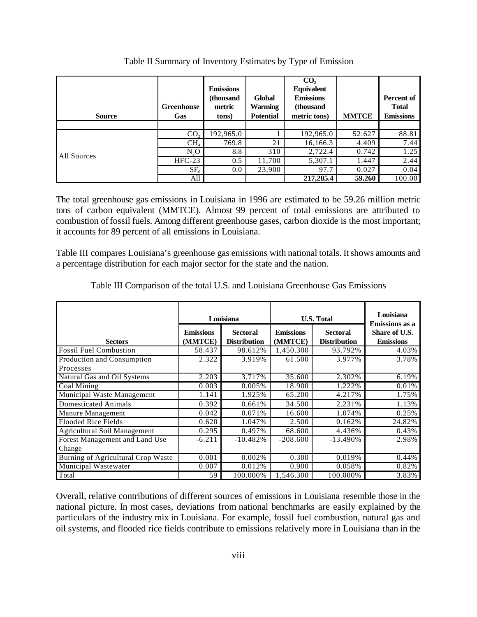| <b>Source</b> | <b>Greenhouse</b><br>Gas | <b>Emissions</b><br>(thousand<br>metric<br>tons) | Global<br><b>Warming</b><br><b>Potential</b> | CO <sub>2</sub><br><b>Equivalent</b><br><b>Emissions</b><br>(thousand<br>metric tons) | <b>MMTCE</b> | <b>Percent of</b><br><b>Total</b><br><b>Emissions</b> |
|---------------|--------------------------|--------------------------------------------------|----------------------------------------------|---------------------------------------------------------------------------------------|--------------|-------------------------------------------------------|
|               | CO <sub>2</sub>          | 192,965.0                                        |                                              | 192,965.0                                                                             | 52.627       | 88.81                                                 |
|               | CH <sub>4</sub>          | 769.8                                            | 21                                           | 16,166.3                                                                              | 4.409        | 7.44                                                  |
| All Sources   | N <sub>2</sub> O         | 8.8                                              | 310                                          | 2,722.4                                                                               | 0.742        | 1.25                                                  |
|               | $HFC-23$                 | 0.5                                              | 11,700                                       | 5,307.1                                                                               | 1.447        | 2.44                                                  |
|               | SF <sub>6</sub>          | 0.0                                              | 23,900                                       | 97.7                                                                                  | 0.027        | 0.04                                                  |
|               | All                      |                                                  |                                              | 217,285.4                                                                             | 59.260       | 100.00                                                |

Table II Summary of Inventory Estimates by Type of Emission

The total greenhouse gas emissions in Louisiana in 1996 are estimated to be 59.26 million metric tons of carbon equivalent (MMTCE). Almost 99 percent of total emissions are attributed to combustion offossil fuels. Among different greenhouse gases, carbon dioxide is the most important; it accounts for 89 percent of all emissions in Louisiana.

Table III compares Louisiana's greenhouse gas emissions with national totals. Itshows amounts and a percentage distribution for each major sector for the state and the nation.

|                                           | Louisiana<br><b>Emissions</b><br><b>Sectoral</b><br>(MMTCE)<br><b>Distribution</b> |            | <b>U.S. Total</b>           | Louisiana<br><b>Emissions</b> as a     |                                   |
|-------------------------------------------|------------------------------------------------------------------------------------|------------|-----------------------------|----------------------------------------|-----------------------------------|
| <b>Sectors</b>                            |                                                                                    |            | <b>Emissions</b><br>(MMTCE) | <b>Sectoral</b><br><b>Distribution</b> | Share of U.S.<br><b>Emissions</b> |
| <b>Fossil Fuel Combustion</b>             | 58.437                                                                             | 98.612%    | 1,450.300                   | 93.792%                                | 4.03%                             |
| Production and Consumption                | 2.322                                                                              | 3.919%     | 61.500                      | 3.977%                                 | 3.78%                             |
| Processes                                 |                                                                                    |            |                             |                                        |                                   |
| Natural Gas and Oil Systems               | 2.203                                                                              | 3.717%     | 35.600                      | 2.302%                                 | 6.19%                             |
| <b>Coal Mining</b>                        | 0.003                                                                              | 0.005%     | 18.900                      | 1.222%                                 | 0.01%                             |
| Municipal Waste Management                | 1.141                                                                              | 1.925%     | 65.200                      | 4.217%                                 | 1.75%                             |
| <b>Domesticated Animals</b>               | 0.392                                                                              | 0.661%     | 34.500                      | 2.231%                                 | 1.13%                             |
| Manure Management                         | 0.042                                                                              | 0.071%     | 16.600                      | 1.074%                                 | 0.25%                             |
| <b>Flooded Rice Fields</b>                | 0.620                                                                              | 1.047%     | 2.500                       | 0.162%                                 | 24.82%                            |
| <b>Agricultural Soil Management</b>       | 0.295                                                                              | 0.497%     | 68.600                      | 4.436%                                 | 0.43%                             |
| Forest Management and Land Use            | $-6.211$                                                                           | $-10.482%$ | $-208.600$                  | $-13.490\%$                            | 2.98%                             |
| Change                                    |                                                                                    |            |                             |                                        |                                   |
| <b>Burning of Agricultural Crop Waste</b> | 0.001                                                                              | 0.002%     | 0.300                       | 0.019%                                 | 0.44%                             |
| Municipal Wastewater                      | 0.007                                                                              | 0.012%     | 0.900                       | 0.058%                                 | 0.82%                             |
| Total                                     | 59                                                                                 | 100.000%   | 1,546.300                   | 100.000%                               | 3.83%                             |

Table III Comparison of the total U.S. and Louisiana Greenhouse Gas Emissions

Overall, relative contributions of different sources of emissions in Louisiana resemble those in the national picture. In most cases, deviations from national benchmarks are easily explained by the particulars of the industry mix in Louisiana. For example, fossil fuel combustion, natural gas and oil systems, and flooded rice fields contribute to emissions relatively more in Louisiana than in the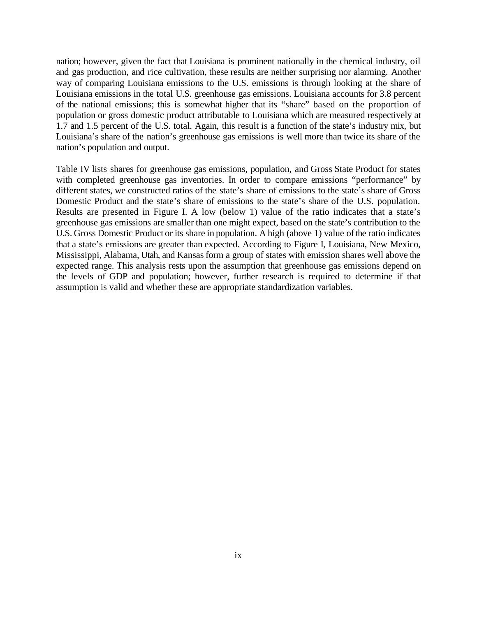nation; however, given the fact that Louisiana is prominent nationally in the chemical industry, oil and gas production, and rice cultivation, these results are neither surprising nor alarming. Another way of comparing Louisiana emissions to the U.S. emissions is through looking at the share of Louisiana emissions in the total U.S. greenhouse gas emissions. Louisiana accounts for 3.8 percent of the national emissions; this is somewhat higher that its "share" based on the proportion of population or gross domestic product attributable to Louisiana which are measured respectively at 1.7 and 1.5 percent of the U.S. total. Again, this result is a function of the state's industry mix, but Louisiana's share of the nation's greenhouse gas emissions is well more than twice its share of the nation's population and output.

Table IV lists shares for greenhouse gas emissions, population, and Gross State Product for states with completed greenhouse gas inventories. In order to compare emissions "performance" by different states, we constructed ratios of the state's share of emissions to the state's share of Gross Domestic Product and the state's share of emissions to the state's share of the U.S. population. Results are presented in Figure I. A low (below 1) value of the ratio indicates that a state's greenhouse gas emissions are smaller than one might expect, based on the state's contribution to the U.S. Gross Domestic Product or its share in population. A high (above 1) value of the ratio indicates that a state's emissions are greater than expected. According to Figure I, Louisiana, New Mexico, Mississippi, Alabama, Utah, and Kansas form a group of states with emission shares well above the expected range. This analysis rests upon the assumption that greenhouse gas emissions depend on the levels of GDP and population; however, further research is required to determine if that assumption is valid and whether these are appropriate standardization variables.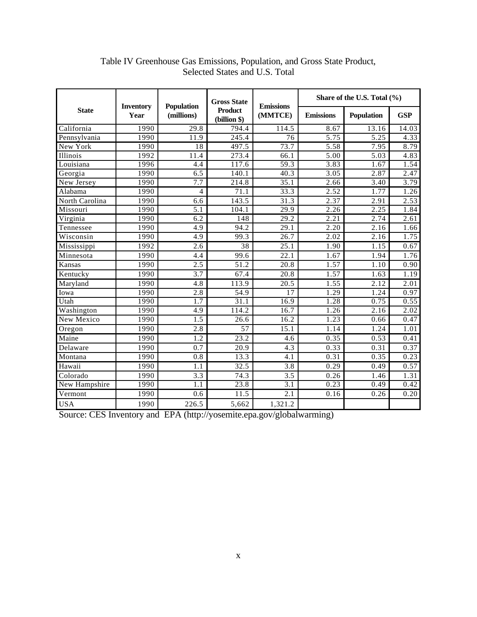|                      | <b>Inventory</b> | <b>Population</b>        | <b>Gross State</b>             | <b>Emissions</b> |                   | Share of the U.S. Total (%) |            |  |  |
|----------------------|------------------|--------------------------|--------------------------------|------------------|-------------------|-----------------------------|------------|--|--|
| <b>State</b>         | Year             | (millions)               | <b>Product</b><br>(billion \$) | (MMTCE)          | <b>Emissions</b>  | Population                  | <b>GSP</b> |  |  |
| California           | 1990             | 29.8                     | 794.4                          | 114.5            | 8.67              | 13.16                       | 14.03      |  |  |
| Pennsylvania         | 1990             | 11.9                     | 245.4                          | 76               | 5.75              | 5.25                        | 4.33       |  |  |
| New York             | 1990             | 18                       | 497.5                          | 73.7             | 5.58              | 7.95                        | 8.79       |  |  |
| Illinois             | 1992             | 11.4                     | 273.4                          | 66.1             | 5.00              | 5.03                        | 4.83       |  |  |
| Louisiana            | 1996             | 4.4                      | 117.6                          | 59.3             | 3.83              | 1.67                        | 1.54       |  |  |
| Georgia              | 1990             | 6.5                      | 140.1                          | 40.3             | 3.05              | 2.87                        | 2.47       |  |  |
| New Jersey           | 1990             | 7.7                      | 214.8                          | 35.1             | 2.66              | 3.40                        | 3.79       |  |  |
| Alabama              | 1990             | $\overline{\mathcal{L}}$ | 71.1                           | 33.3             | 2.52              | 1.77                        | 1.26       |  |  |
| North Carolina       | 1990             | 6.6                      | 143.5                          | 31.3             | 2.37              | 2.91                        | 2.53       |  |  |
| Missouri             | 1990             | $\overline{5.1}$         | 104.1                          | 29.9             | 2.26              | 2.25                        | 1.84       |  |  |
| Virginia             | 1990             | 6.2                      | 148                            | 29.2             | 2.21              | 2.74                        | 2.61       |  |  |
| Tennessee            | 1990             | 4.9                      | 94.2                           | 29.1             | 2.20              | 2.16                        | 1.66       |  |  |
| Wisconsin            | 1990             | 4.9                      | 99.3                           | 26.7             | $\overline{2.02}$ | 2.16                        | 1.75       |  |  |
| Mississippi          | 1992             | 2.6                      | 38                             | 25.1             | 1.90              | 1.15                        | 0.67       |  |  |
| Minnesota            | 1990             | 4.4                      | 99.6                           | 22.1             | 1.67              | 1.94                        | 1.76       |  |  |
| Kansas               | 1990             | 2.5                      | 51.2                           | 20.8             | 1.57              | 1.10                        | 0.90       |  |  |
| Kentucky             | 1990             | 3.7                      | 67.4                           | 20.8             | 1.57              | 1.63                        | 1.19       |  |  |
| Maryland             | 1990             | $4.\overline{8}$         | 113.9                          | 20.5             | 1.55              | 2.12                        | 2.01       |  |  |
| Iowa                 | 1990             | 2.8                      | 54.9                           | 17               | 1.29              | 1.24                        | 0.97       |  |  |
| Utah                 | 1990             | 1.7                      | 31.1                           | 16.9             | 1.28              | 0.75                        | 0.55       |  |  |
| Washington           | 1990             | 4.9                      | 114.2                          | 16.7             | 1.26              | 2.16                        | 2.02       |  |  |
| New Mexico           | 1990             | $\overline{1.5}$         | 26.6                           | 16.2             | 1.23              | 0.66                        | 0.47       |  |  |
| Oregon               | 1990             | 2.8                      | 57                             | 15.1             | 1.14              | 1.24                        | 1.01       |  |  |
| Maine                | 1990             | 1.2                      | 23.2                           | 4.6              | 0.35              | 0.53                        | 0.41       |  |  |
| Delaware             | 1990             | 0.7                      | 20.9                           | 4.3              | 0.33              | 0.31                        | 0.37       |  |  |
| Montana              | 1990             | $\overline{0.8}$         | 13.3                           | 4.1              | 0.31              | 0.35                        | 0.23       |  |  |
| Hawaii               | 1990             | 1.1                      | 32.5                           | 3.8              | 0.29              | 0.49                        | 0.57       |  |  |
| Colorado             | 1990             | 3.3                      | 74.3                           | 3.5              | 0.26              | 1.46                        | 1.31       |  |  |
| <b>New Hampshire</b> | 1990             | 1.1                      | 23.8                           | 3.1              | 0.23              | 0.49                        | 0.42       |  |  |
| Vermont              | 1990             | 0.6                      | 11.5                           | 2.1              | 0.16              | 0.26                        | 0.20       |  |  |
| <b>USA</b>           | 1990             | 226.5                    | 5,662                          | 1,321.2          |                   |                             |            |  |  |

# Table IV Greenhouse Gas Emissions, Population, and Gross State Product, Selected States and U.S. Total

Source: CES Inventory and EPA (http://yosemite.epa.gov/globalwarming)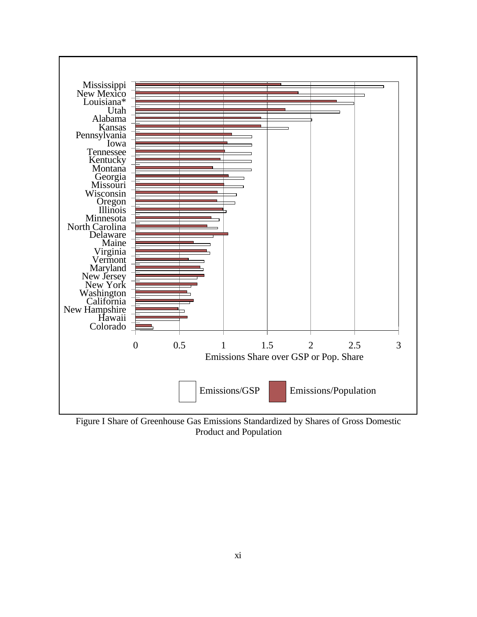

Figure I Share of Greenhouse Gas Emissions Standardized by Shares of Gross Domestic Product and Population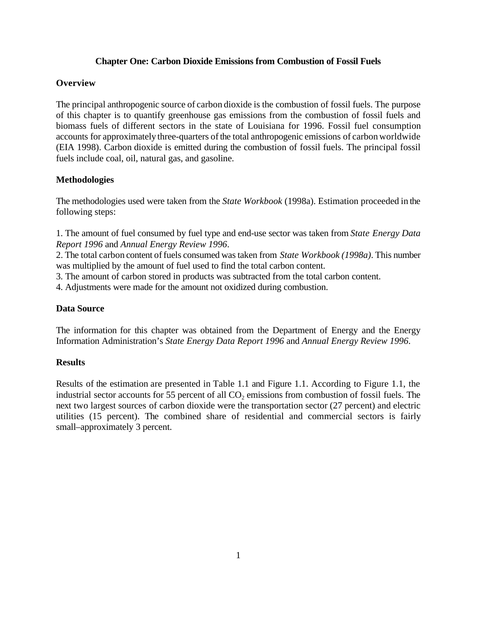# **Chapter One: Carbon Dioxide Emissions from Combustion of Fossil Fuels**

# **Overview**

The principal anthropogenic source of carbon dioxide is the combustion of fossil fuels. The purpose of this chapter is to quantify greenhouse gas emissions from the combustion of fossil fuels and biomass fuels of different sectors in the state of Louisiana for 1996. Fossil fuel consumption accounts for approximately three-quarters of the total anthropogenic emissions of carbon worldwide (EIA 1998). Carbon dioxide is emitted during the combustion of fossil fuels. The principal fossil fuels include coal, oil, natural gas, and gasoline.

# **Methodologies**

The methodologies used were taken from the *State Workbook* (1998a). Estimation proceeded in the following steps:

1. The amount of fuel consumed by fuel type and end-use sector was taken from *State Energy Data Report 1996* and *Annual Energy Review 1996*.

2. The total carbon content offuels consumed was taken from *State Workbook (1998a)*. This number was multiplied by the amount of fuel used to find the total carbon content.

3. The amount of carbon stored in products was subtracted from the total carbon content.

4. Adjustments were made for the amount not oxidized during combustion.

# **Data Source**

The information for this chapter was obtained from the Department of Energy and the Energy Information Administration's *State Energy Data Report 1996* and *Annual Energy Review 1996*.

#### **Results**

Results of the estimation are presented in Table 1.1 and Figure 1.1. According to Figure 1.1, the industrial sector accounts for 55 percent of all  $CO<sub>2</sub>$  emissions from combustion of fossil fuels. The next two largest sources of carbon dioxide were the transportation sector (27 percent) and electric utilities (15 percent). The combined share of residential and commercial sectors is fairly small–approximately 3 percent.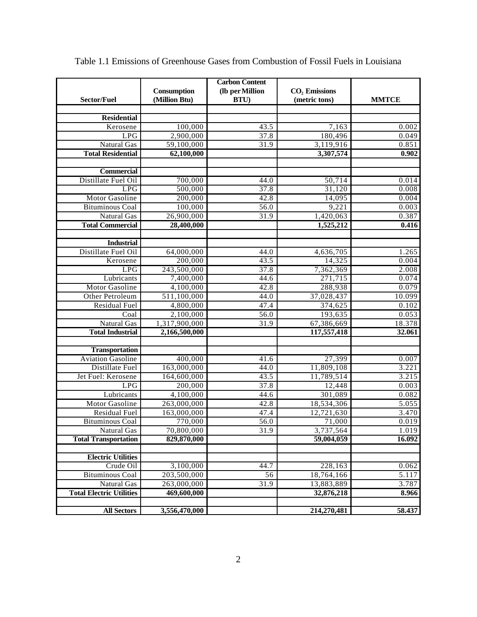|                                 |               | <b>Carbon Content</b> |                           |              |
|---------------------------------|---------------|-----------------------|---------------------------|--------------|
|                                 | Consumption   | (lb per Million       | CO <sub>2</sub> Emissions |              |
| <b>Sector/Fuel</b>              | (Million Btu) | BTU)                  | (metric tons)             | <b>MMTCE</b> |
| <b>Residential</b>              |               |                       |                           |              |
| Kerosene                        | 100,000       | 43.5                  | 7,163                     | 0.002        |
| LPG                             | 2,900,000     | 37.8                  | 180,496                   | 0.049        |
| Natural Gas                     | 59,100,000    | 31.9                  | 3,119,916                 | 0.851        |
| <b>Total Residential</b>        | 62,100,000    |                       | 3,307,574                 | 0.902        |
|                                 |               |                       |                           |              |
| <b>Commercial</b>               |               |                       |                           |              |
| Distillate Fuel Oil             | 700,000       | 44.0                  | 50,714                    | 0.014        |
| LPG                             | 500,000       | 37.8                  | 31,120                    | 0.008        |
| Motor Gasoline                  | 200,000       | 42.8                  | 14,095                    | 0.004        |
| <b>Bituminous Coal</b>          | 100,000       | 56.0                  | 9,221                     | 0.003        |
| Natural Gas                     | 26,900,000    | 31.9                  | 1,420,063                 | 0.387        |
| <b>Total Commercial</b>         | 28,400,000    |                       | 1,525,212                 | 0.416        |
|                                 |               |                       |                           |              |
| <b>Industrial</b>               |               |                       |                           |              |
| Distillate Fuel Oil             | 64,000,000    | 44.0                  | 4,636,705                 | 1.265        |
| Kerosene                        | 200,000       | 43.5                  | 14,325                    | 0.004        |
| <b>LPG</b>                      | 243,500,000   | 37.8                  | 7,362,369                 | 2.008        |
| Lubricants                      | 7,400,000     | 44.6                  | 271,715                   | 0.074        |
| Motor Gasoline                  | 4,100,000     | 42.8                  | 288,938                   | 0.079        |
| Other Petroleum                 | 511,100,000   | 44.0                  | 37,028,437                | 10.099       |
| Residual Fuel                   | 4,800,000     | 47.4                  | 374,625                   | 0.102        |
| Coal                            | 2,100,000     | 56.0                  | 193,635                   | 0.053        |
| Natural Gas                     | 1,317,900,000 | 31.9                  | 67,386,669                | 18.378       |
| <b>Total Industrial</b>         | 2,166,500,000 |                       | 117,557,418               | 32.061       |
|                                 |               |                       |                           |              |
| <b>Transportation</b>           |               |                       |                           |              |
| <b>Aviation Gasoline</b>        | 400,000       | 41.6                  | 27,399                    | 0.007        |
| Distillate Fuel                 | 163,000,000   | 44.0                  | 11,809,108                | 3.221        |
| Jet Fuel: Kerosene              | 164,600,000   | 43.5                  | 11,789,514                | 3.215        |
| <b>LPG</b>                      | 200,000       | 37.8                  | 12,448                    | 0.003        |
| Lubricants                      | 4,100,000     | 44.6                  | 301,089                   | 0.082        |
| <b>Motor Gasoline</b>           | 263,000,000   | 42.8                  | 18,534,306                | 5.055        |
| Residual Fuel                   | 163,000,000   | 47.4                  | 12,721,630                | 3.470        |
| Bituminous Coal                 | 770,000       | 56.0                  | 71,000                    | 0.019        |
| Natural Gas                     | 70,800,000    | 31.9                  | 3,737,564                 | 1.019        |
| <b>Total Transportation</b>     | 829,870,000   |                       | 59,004,059                | 16.092       |
| <b>Electric Utilities</b>       |               |                       |                           |              |
| Crude Oil                       | 3,100,000     | 44.7                  | 228,163                   | 0.062        |
| <b>Bituminous Coal</b>          | 203,500,000   | 56                    | 18,764,166                | 5.117        |
| Natural Gas                     | 263,000,000   | 31.9                  | 13,883,889                | 3.787        |
| <b>Total Electric Utilities</b> | 469,600,000   |                       | 32,876,218                | 8.966        |
|                                 |               |                       |                           |              |
| <b>All Sectors</b>              | 3,556,470,000 |                       | 214,270,481               | 58.437       |

Table 1.1 Emissions of Greenhouse Gases from Combustion of Fossil Fuels in Louisiana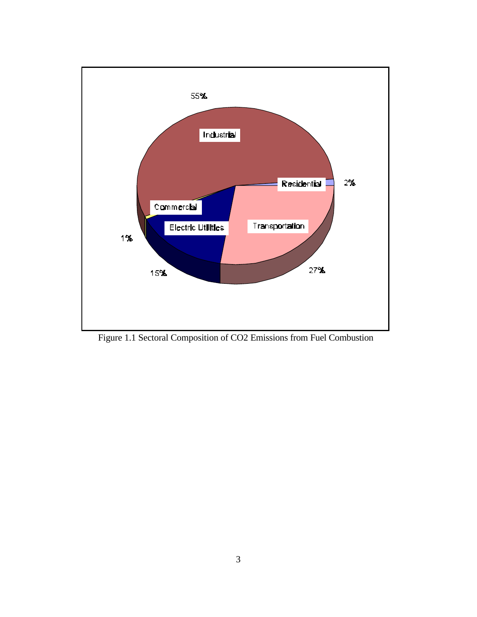

Figure 1.1 Sectoral Composition of CO2 Emissions from Fuel Combustion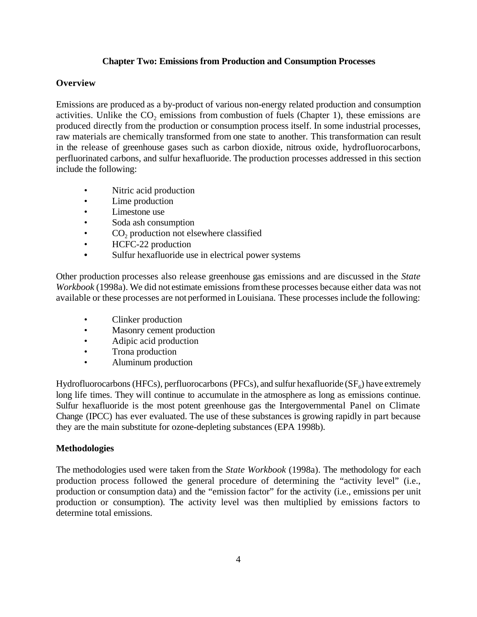# **Chapter Two: Emissions from Production and Consumption Processes**

# **Overview**

Emissions are produced as a by-product of various non-energy related production and consumption activities. Unlike the  $CO_2$  emissions from combustion of fuels (Chapter 1), these emissions are produced directly from the production or consumption process itself. In some industrial processes, raw materials are chemically transformed from one state to another. This transformation can result in the release of greenhouse gases such as carbon dioxide, nitrous oxide, hydrofluorocarbons, perfluorinated carbons, and sulfur hexafluoride. The production processes addressed in this section include the following:

- Nitric acid production
- Lime production
- Limestone use
- Soda ash consumption
- $\bullet$   $CO<sub>2</sub>$  production not elsewhere classified
- HCFC-22 production
- **•** Sulfur hexafluoride use in electrical power systems

Other production processes also release greenhouse gas emissions and are discussed in the *State Workbook* (1998a). We did not estimate emissions fromthese processes because either data was not available or these processes are not performed in Louisiana. These processes include the following:

- Clinker production
- Masonry cement production
- Adipic acid production
- Trona production
- Aluminum production

Hydrofluorocarbons (HFCs), perfluorocarbons (PFCs), and sulfur hexafluoride ( $SF<sub>6</sub>$ ) have extremely long life times. They will continue to accumulate in the atmosphere as long as emissions continue. Sulfur hexafluoride is the most potent greenhouse gas the Intergovernmental Panel on Climate Change (IPCC) has ever evaluated. The use of these substances is growing rapidly in part because they are the main substitute for ozone-depleting substances (EPA 1998b).

# **Methodologies**

The methodologies used were taken from the *State Workbook* (1998a). The methodology for each production process followed the general procedure of determining the "activity level" (i.e., production or consumption data) and the "emission factor" for the activity (i.e., emissions per unit production or consumption). The activity level was then multiplied by emissions factors to determine total emissions.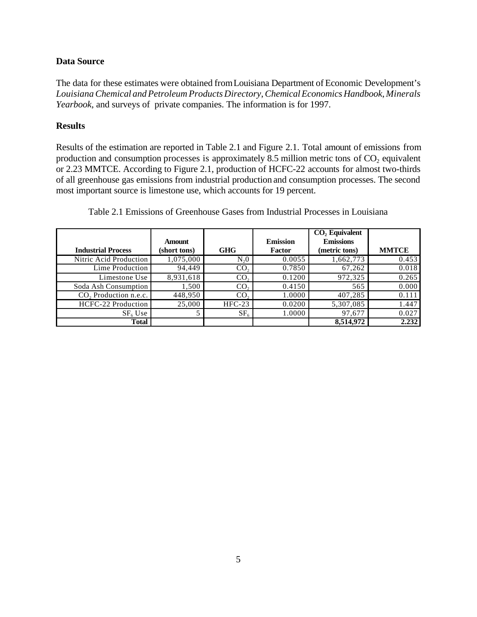# **Data Source**

The data for these estimates were obtained fromLouisiana Department of Economic Development's *LouisianaChemical andPetroleum Products Directory*,*Chemical Economics Handbook*, *Minerals Yearbook*, and surveys of private companies. The information is for 1997.

# **Results**

Results of the estimation are reported in Table 2.1 and Figure 2.1. Total amount of emissions from production and consumption processes is approximately 8.5 million metric tons of  $CO<sub>2</sub>$  equivalent or 2.23 MMTCE. According to Figure 2.1, production of HCFC-22 accounts for almost two-thirds of all greenhouse gas emissions from industrial production and consumption processes. The second most important source is limestone use, which accounts for 19 percent.

|                                   | Amount       |                 | <b>Emission</b> | CO <sub>2</sub> Equivalent<br><b>Emissions</b> |              |
|-----------------------------------|--------------|-----------------|-----------------|------------------------------------------------|--------------|
| <b>Industrial Process</b>         | (short tons) | <b>GHG</b>      | <b>Factor</b>   | (metric tons)                                  | <b>MMTCE</b> |
| Nitric Acid Production            | 1,075,000    | $N_2$ 0         | 0.0055          | 1,662,773                                      | 0.453        |
| Lime Production                   | 94,449       | CO <sub>2</sub> | 0.7850          | 67,262                                         | 0.018        |
| Limestone Use                     | 8,931,618    | CO <sub>2</sub> | 0.1200          | 972,325                                        | 0.265        |
| Soda Ash Consumption              | 1,500        | CO <sub>2</sub> | 0.4150          | 565                                            | 0.000        |
| CO <sub>2</sub> Production n.e.c. | 448,950      | CO <sub>2</sub> | 1.0000          | 407,285                                        | 0.111        |
| HCFC-22 Production                | 25,000       | $HFC-23$        | 0.0200          | 5,307,085                                      | 1.447        |
| $SF_{6}$ Use                      |              | SF <sub>6</sub> | 1.0000          | 97,677                                         | 0.027        |
| <b>Total</b>                      |              |                 |                 | 8,514,972                                      | 2.232        |

Table 2.1 Emissions of Greenhouse Gases from Industrial Processes in Louisiana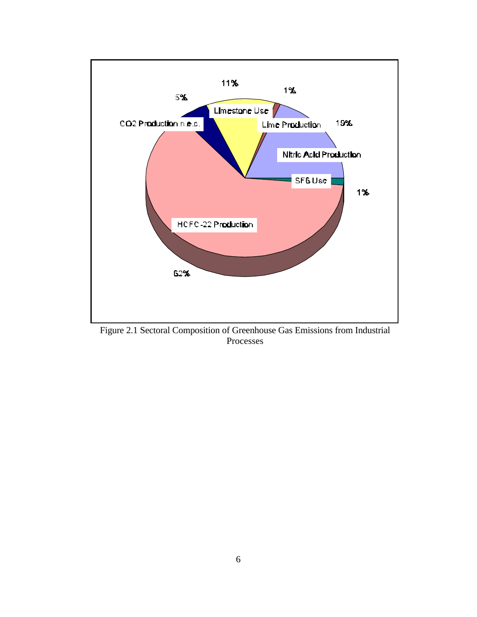

Processes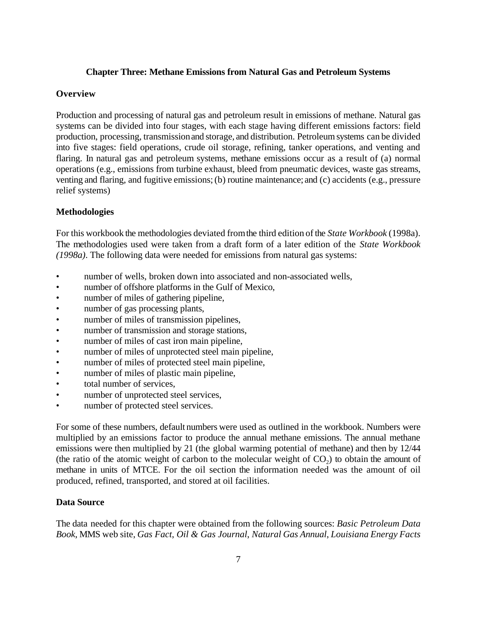# **Chapter Three: Methane Emissions from Natural Gas and Petroleum Systems**

#### **Overview**

Production and processing of natural gas and petroleum result in emissions of methane. Natural gas systems can be divided into four stages, with each stage having different emissions factors: field production, processing, transmissionand storage, and distribution. Petroleumsystems can be divided into five stages: field operations, crude oil storage, refining, tanker operations, and venting and flaring. In natural gas and petroleum systems, methane emissions occur as a result of (a) normal operations (e.g., emissions from turbine exhaust, bleed from pneumatic devices, waste gas streams, venting and flaring, and fugitive emissions;(b) routine maintenance; and (c) accidents (e.g., pressure relief systems)

# **Methodologies**

For this workbook the methodologies deviated fromthe third edition ofthe *State Workbook* (1998a). The methodologies used were taken from a draft form of a later edition of the *State Workbook (1998a)*. The following data were needed for emissions from natural gas systems:

- number of wells, broken down into associated and non-associated wells,
- number of offshore platforms in the Gulf of Mexico,
- number of miles of gathering pipeline,
- number of gas processing plants,
- number of miles of transmission pipelines,
- number of transmission and storage stations,
- number of miles of cast iron main pipeline,
- number of miles of unprotected steel main pipeline,
- number of miles of protected steel main pipeline,
- number of miles of plastic main pipeline,
- total number of services,
- number of unprotected steel services,
- number of protected steel services.

For some of these numbers, default numbers were used as outlined in the workbook. Numbers were multiplied by an emissions factor to produce the annual methane emissions. The annual methane emissions were then multiplied by 21 (the global warming potential of methane) and then by 12/44 (the ratio of the atomic weight of carbon to the molecular weight of  $CO<sub>2</sub>$ ) to obtain the amount of methane in units of MTCE. For the oil section the information needed was the amount of oil produced, refined, transported, and stored at oil facilities.

#### **Data Source**

The data needed for this chapter were obtained from the following sources: *Basic Petroleum Data Book*, MMS web site, *Gas Fact*, *Oil & Gas Journal*, *Natural Gas Annual*, *Louisiana Energy Facts*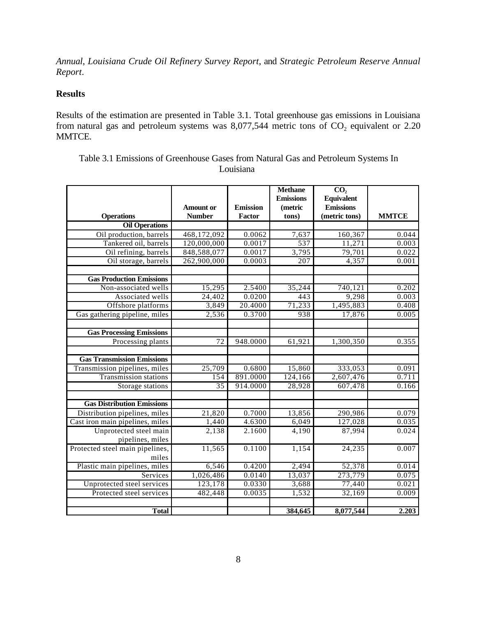*Annual*, *Louisiana Crude Oil Refinery Survey Report*, and *Strategic Petroleum Reserve Annual Report*.

# **Results**

Results of the estimation are presented in Table 3.1. Total greenhouse gas emissions in Louisiana from natural gas and petroleum systems was 8,077,544 metric tons of  $CO<sub>2</sub>$  equivalent or 2.20 MMTCE.

Table 3.1 Emissions of Greenhouse Gases from Natural Gas and Petroleum Systems In Louisiana

|                                   |                  |                 | <b>Methane</b><br><b>Emissions</b> | CO <sub>2</sub><br><b>Equivalent</b> |              |
|-----------------------------------|------------------|-----------------|------------------------------------|--------------------------------------|--------------|
|                                   | <b>Amount or</b> | <b>Emission</b> | (metric                            | <b>Emissions</b>                     |              |
| <b>Operations</b>                 | <b>Number</b>    | Factor          | tons)                              | (metric tons)                        | <b>MMTCE</b> |
| <b>Oil Operations</b>             |                  |                 |                                    |                                      |              |
| Oil production, barrels           | 468,172,092      | 0.0062          | 7,637                              | 160,367                              | 0.044        |
| Tankered oil, barrels             | 120,000,000      | 0.0017          | 537                                | 11,271                               | 0.003        |
| Oil refining, barrels             | 848,588,077      | 0.0017          | $\overline{3,795}$                 | 79,701                               | 0.022        |
| Oil storage, barrels              | 262,900,000      | 0.0003          | 207                                | 4,357                                | 0.001        |
|                                   |                  |                 |                                    |                                      |              |
| <b>Gas Production Emissions</b>   |                  |                 |                                    |                                      |              |
| Non-associated wells              | 15,295           | 2.5400          | 35,244                             | 740,121                              | 0.202        |
| Associated wells                  | 24,402           | 0.0200          | 443                                | 9,298                                | 0.003        |
| Offshore platforms                | 3,849            | 20.4000         | 71,233                             | 1,495,883                            | 0.408        |
| Gas gathering pipeline, miles     | 2,536            | 0.3700          | 938                                | 17,876                               | 0.005        |
|                                   |                  |                 |                                    |                                      |              |
| <b>Gas Processing Emissions</b>   |                  |                 |                                    |                                      |              |
| Processing plants                 | 72               | 948.0000        | 61,921                             | 1,300,350                            | 0.355        |
|                                   |                  |                 |                                    |                                      |              |
| <b>Gas Transmission Emissions</b> |                  |                 |                                    |                                      |              |
| Transmission pipelines, miles     | 25,709           | 0.6800          | 15,860                             | 333,053                              | 0.091        |
| <b>Transmission stations</b>      | 154              | 891.0000        | 124,166                            | 2,607,476                            | 0.711        |
| Storage stations                  | 35               | 914.0000        | 28,928                             | 607,478                              | 0.166        |
|                                   |                  |                 |                                    |                                      |              |
| <b>Gas Distribution Emissions</b> |                  |                 |                                    |                                      |              |
| Distribution pipelines, miles     | 21,820           | 0.7000          | 13,856                             | 290,986                              | 0.079        |
| Cast iron main pipelines, miles   | 1,440            | 4.6300          | 6,049                              | 127,028                              | 0.035        |
| Unprotected steel main            | 2,138            | 2.1600          | 4,190                              | 87,994                               | 0.024        |
| pipelines, miles                  |                  |                 |                                    |                                      |              |
| Protected steel main pipelines,   | 11,565           | 0.1100          | 1,154                              | 24,235                               | 0.007        |
| miles                             |                  |                 |                                    |                                      |              |
| Plastic main pipelines, miles     | 6,546            | 0.4200          | 2,494                              | 52,378                               | 0.014        |
| Services                          | 1,026,486        | 0.0140          | 13,037                             | 273,779                              | 0.075        |
| Unprotected steel services        | 123,178          | 0.0330          | 3,688                              | 77,440                               | 0.021        |
| Protected steel services          | 482,448          | 0.0035          | 1,532                              | 32,169                               | 0.009        |
|                                   |                  |                 |                                    |                                      |              |
| <b>Total</b>                      |                  |                 | 384,645                            | 8,077,544                            | 2,203        |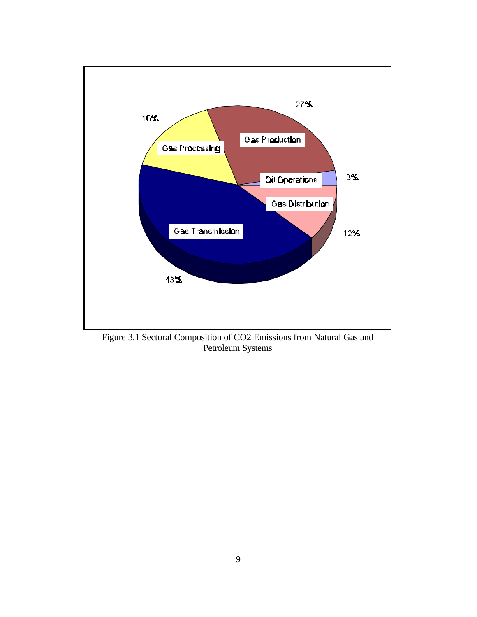

Petroleum Systems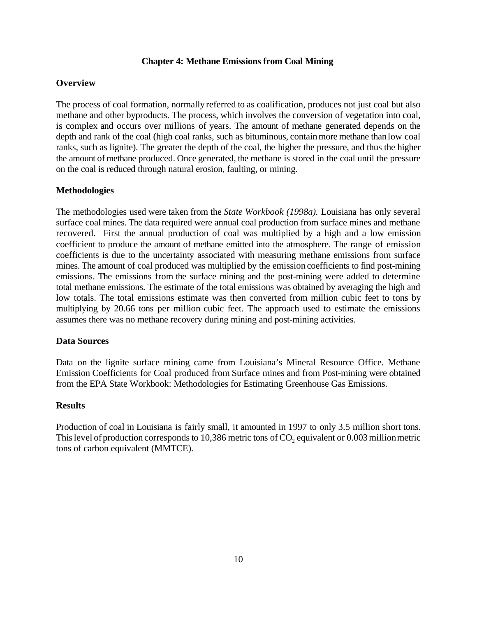#### **Chapter 4: Methane Emissions from Coal Mining**

#### **Overview**

The process of coal formation, normally referred to as coalification, produces not just coal but also methane and other byproducts. The process, which involves the conversion of vegetation into coal, is complex and occurs over millions of years. The amount of methane generated depends on the depth and rank of the coal (high coal ranks, such as bituminous, contain more methane than low coal ranks, such as lignite). The greater the depth of the coal, the higher the pressure, and thus the higher the amount of methane produced. Once generated, the methane is stored in the coal until the pressure on the coal is reduced through natural erosion, faulting, or mining.

#### **Methodologies**

The methodologies used were taken from the *State Workbook (1998a).* Louisiana has only several surface coal mines. The data required were annual coal production from surface mines and methane recovered. First the annual production of coal was multiplied by a high and a low emission coefficient to produce the amount of methane emitted into the atmosphere. The range of emission coefficients is due to the uncertainty associated with measuring methane emissions from surface mines. The amount of coal produced was multiplied by the emission coefficients to find post-mining emissions. The emissions from the surface mining and the post-mining were added to determine total methane emissions. The estimate of the total emissions was obtained by averaging the high and low totals. The total emissions estimate was then converted from million cubic feet to tons by multiplying by 20.66 tons per million cubic feet. The approach used to estimate the emissions assumes there was no methane recovery during mining and post-mining activities.

#### **Data Sources**

Data on the lignite surface mining came from Louisiana's Mineral Resource Office. Methane Emission Coefficients for Coal produced from Surface mines and from Post-mining were obtained from the EPA State Workbook: Methodologies for Estimating Greenhouse Gas Emissions.

#### **Results**

Production of coal in Louisiana is fairly small, it amounted in 1997 to only 3.5 million short tons. This level of production corresponds to 10,386 metric tons of  $CO<sub>2</sub>$  equivalent or 0.003 million metric tons of carbon equivalent (MMTCE).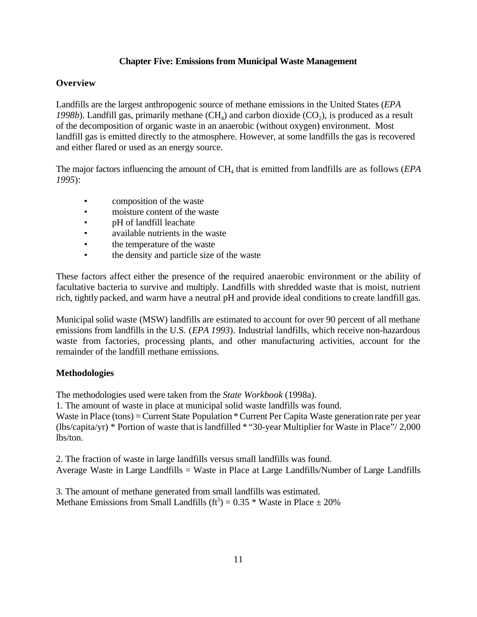# **Chapter Five: Emissions from Municipal Waste Management**

# **Overview**

Landfills are the largest anthropogenic source of methane emissions in the United States (*EPA* 1998b). Landfill gas, primarily methane  $(CH_4)$  and carbon dioxide  $(CO_2)$ , is produced as a result of the decomposition of organic waste in an anaerobic (without oxygen) environment. Most landfill gas is emitted directly to the atmosphere. However, at some landfills the gas is recovered and either flared or used as an energy source.

The major factors influencing the amount of CH<sub>4</sub> that is emitted from landfills are as follows (*EPA 1995*):

- composition of the waste
- moisture content of the waste
- pH of landfill leachate
- available nutrients in the waste
- the temperature of the waste
- the density and particle size of the waste

These factors affect either the presence of the required anaerobic environment or the ability of facultative bacteria to survive and multiply. Landfills with shredded waste that is moist, nutrient rich, tightly packed, and warm have a neutral pH and provide ideal conditions to create landfill gas.

Municipal solid waste (MSW) landfills are estimated to account for over 90 percent of all methane emissions from landfills in the U.S. (*EPA 1993*). Industrial landfills, which receive non-hazardous waste from factories, processing plants, and other manufacturing activities, account for the remainder of the landfill methane emissions.

# **Methodologies**

The methodologies used were taken from the *State Workbook* (1998a).

1. The amount of waste in place at municipal solid waste landfills was found.

Waste in Place (tons) = Current State Population \* Current Per Capita Waste generation rate per year (lbs/capita/yr) \* Portion of waste that is landfilled \* "30-year Multiplier for Waste in Place"/ 2,000 lbs/ton.

2. The fraction of waste in large landfills versus small landfills was found. Average Waste in Large Landfills = Waste in Place at Large Landfills/Number of Large Landfills

3. The amount of methane generated from small landfills was estimated. Methane Emissions from Small Landfills  $(f_t^3) = 0.35 *$  Waste in Place  $\pm 20\%$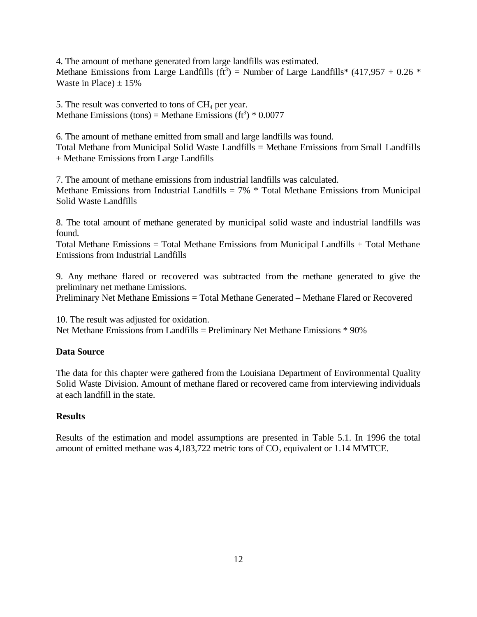4. The amount of methane generated from large landfills was estimated. Methane Emissions from Large Landfills  $(ft^3)$  = Number of Large Landfills\* (417,957 + 0.26 \* Waste in Place)  $\pm$  15%

5. The result was converted to tons of  $CH_4$  per year. Methane Emissions (tons) = Methane Emissions ( $ft<sup>3</sup>$ ) \* 0.0077

6. The amount of methane emitted from small and large landfills was found. Total Methane from Municipal Solid Waste Landfills = Methane Emissions from Small Landfills + Methane Emissions from Large Landfills

7. The amount of methane emissions from industrial landfills was calculated. Methane Emissions from Industrial Landfills  $= 7\%$  \* Total Methane Emissions from Municipal Solid Waste Landfills

8. The total amount of methane generated by municipal solid waste and industrial landfills was found.

Total Methane Emissions = Total Methane Emissions from Municipal Landfills + Total Methane Emissions from Industrial Landfills

9. Any methane flared or recovered was subtracted from the methane generated to give the preliminary net methane Emissions.

Preliminary Net Methane Emissions = Total Methane Generated – Methane Flared or Recovered

10. The result was adjusted for oxidation. Net Methane Emissions from Landfills = Preliminary Net Methane Emissions \* 90%

# **Data Source**

The data for this chapter were gathered from the Louisiana Department of Environmental Quality Solid Waste Division. Amount of methane flared or recovered came from interviewing individuals at each landfill in the state.

# **Results**

Results of the estimation and model assumptions are presented in Table 5.1. In 1996 the total amount of emitted methane was  $4,183,722$  metric tons of  $CO<sub>2</sub>$  equivalent or 1.14 MMTCE.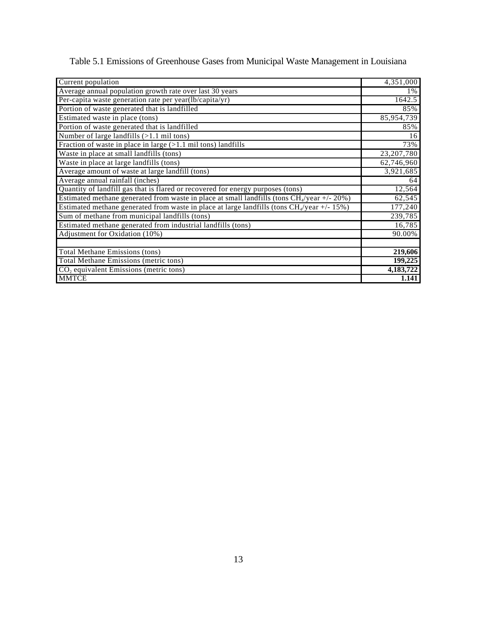| Current population                                                                             | 4,351,000          |
|------------------------------------------------------------------------------------------------|--------------------|
| Average annual population growth rate over last 30 years                                       | 1%                 |
| Per-capita waste generation rate per year(lb/capita/yr)                                        | 1642.5             |
| Portion of waste generated that is landfilled                                                  | 85%                |
| Estimated waste in place (tons)                                                                | 85,954,739         |
| Portion of waste generated that is landfilled                                                  | 85%                |
| Number of large landfills $(>1.1 \text{ mil tons})$                                            | 16                 |
| Fraction of waste in place in large $(>1.1 \text{ mil} \cdot \text{tons})$ landfills           | 73%                |
| Waste in place at small landfills (tons)                                                       | 23, 207, 780       |
| Waste in place at large landfills (tons)                                                       | 62,746,960         |
| Average amount of waste at large landfill (tons)                                               | 3,921,685          |
| Average annual rainfall (inches)                                                               | 64                 |
| Quantity of landfill gas that is flared or recovered for energy purposes (tons)                | 12,564             |
| Estimated methane generated from waste in place at small landfills (tons $CH4/year +/- 20%)$ ) | 62,545             |
| Estimated methane generated from waste in place at large landfills (tons $CH_4$ /year +/- 15%) | 177,240            |
| Sum of methane from municipal landfills (tons)                                                 | 239,785            |
| Estimated methane generated from industrial landfills (tons)                                   | 16,785             |
| Adjustment for Oxidation (10%)                                                                 | 90.00%             |
|                                                                                                |                    |
| Total Methane Emissions (tons)                                                                 | 219,606            |
| Total Methane Emissions (metric tons)                                                          | 199,225            |
| CO <sub>2</sub> equivalent Emissions (metric tons)                                             | 4,183,722          |
| $\overline{\text{MMTCE}}$                                                                      | $\overline{1.141}$ |

Table 5.1 Emissions of Greenhouse Gases from Municipal Waste Management in Louisiana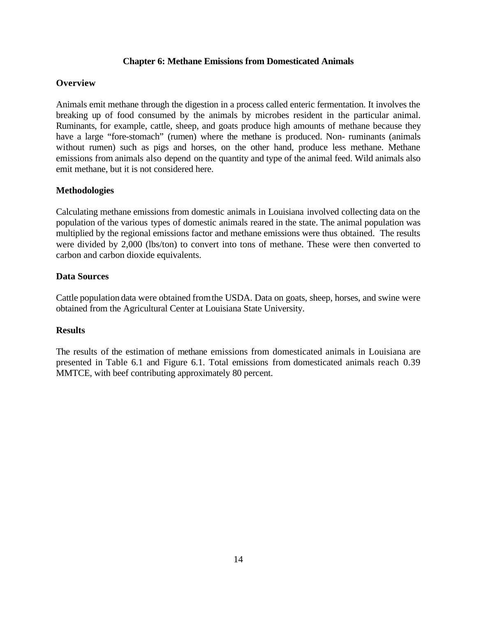#### **Chapter 6: Methane Emissions from Domesticated Animals**

# **Overview**

Animals emit methane through the digestion in a process called enteric fermentation. It involves the breaking up of food consumed by the animals by microbes resident in the particular animal. Ruminants, for example, cattle, sheep, and goats produce high amounts of methane because they have a large "fore-stomach" (rumen) where the methane is produced. Non- ruminants (animals without rumen) such as pigs and horses, on the other hand, produce less methane. Methane emissions from animals also depend on the quantity and type of the animal feed. Wild animals also emit methane, but it is not considered here.

# **Methodologies**

Calculating methane emissions from domestic animals in Louisiana involved collecting data on the population of the various types of domestic animals reared in the state. The animal population was multiplied by the regional emissions factor and methane emissions were thus obtained. The results were divided by 2,000 (lbs/ton) to convert into tons of methane. These were then converted to carbon and carbon dioxide equivalents.

## **Data Sources**

Cattle population data were obtained fromthe USDA. Data on goats, sheep, horses, and swine were obtained from the Agricultural Center at Louisiana State University.

#### **Results**

The results of the estimation of methane emissions from domesticated animals in Louisiana are presented in Table 6.1 and Figure 6.1. Total emissions from domesticated animals reach 0.39 MMTCE, with beef contributing approximately 80 percent.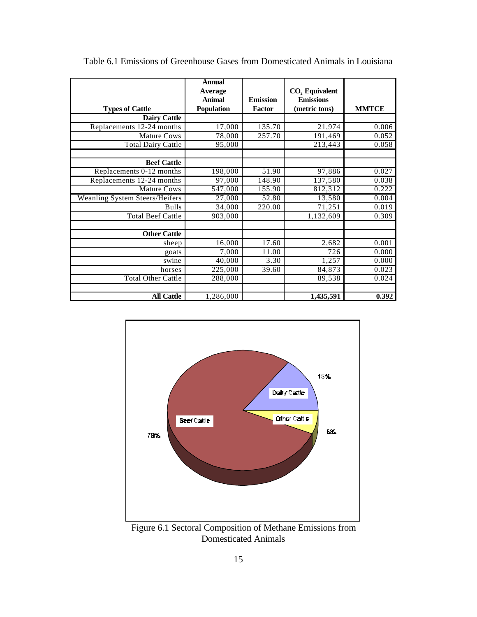|                                | <b>Annual</b>            |                 |                                      |              |
|--------------------------------|--------------------------|-----------------|--------------------------------------|--------------|
|                                | Average<br><b>Animal</b> | <b>Emission</b> | $CO2$ Equivalent<br><b>Emissions</b> |              |
| <b>Types of Cattle</b>         | <b>Population</b>        | <b>Factor</b>   | (metric tons)                        | <b>MMTCE</b> |
| <b>Dairy Cattle</b>            |                          |                 |                                      |              |
| Replacements 12-24 months      | 17,000                   | 135.70          | 21,974                               | 0.006        |
| <b>Mature Cows</b>             | 78,000                   | 257.70          | 191,469                              | 0.052        |
| <b>Total Dairy Cattle</b>      | 95,000                   |                 | 213,443                              | 0.058        |
|                                |                          |                 |                                      |              |
| <b>Beef Cattle</b>             |                          |                 |                                      |              |
| Replacements 0-12 months       | 198,000                  | 51.90           | 97,886                               | 0.027        |
| Replacements 12-24 months      | 97,000                   | 148.90          | 137,580                              | 0.038        |
| <b>Mature Cows</b>             | 547,000                  | 155.90          | 812,312                              | 0.222        |
| Weanling System Steers/Heifers | 27,000                   | 52.80           | 13,580                               | 0.004        |
| <b>Bulls</b>                   | 34,000                   | 220.00          | 71,251                               | 0.019        |
| <b>Total Beef Cattle</b>       | 903,000                  |                 | 1,132,609                            | 0.309        |
|                                |                          |                 |                                      |              |
| <b>Other Cattle</b>            |                          |                 |                                      |              |
| sheep                          | 16,000                   | 17.60           | 2,682                                | 0.001        |
| goats                          | 7,000                    | 11.00           | 726                                  | 0.000        |
| swine                          | 40,000                   | 3.30            | 1,257                                | 0.000        |
| horses                         | 225,000                  | 39.60           | 84,873                               | 0.023        |
| <b>Total Other Cattle</b>      | 288,000                  |                 | 89,538                               | 0.024        |
|                                |                          |                 |                                      |              |
| <b>All Cattle</b>              | 1,286,000                |                 | 1,435,591                            | 0.392        |

Table 6.1 Emissions of Greenhouse Gases from Domesticated Animals in Louisiana



Figure 6.1 Sectoral Composition of Methane Emissions from Domesticated Animals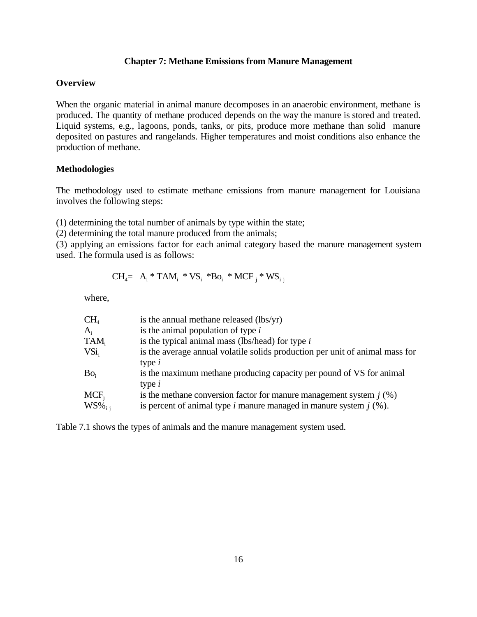#### **Chapter 7: Methane Emissions from Manure Management**

## **Overview**

When the organic material in animal manure decomposes in an anaerobic environment, methane is produced. The quantity of methane produced depends on the way the manure is stored and treated. Liquid systems, e.g., lagoons, ponds, tanks, or pits, produce more methane than solid manure deposited on pastures and rangelands. Higher temperatures and moist conditions also enhance the production of methane.

#### **Methodologies**

The methodology used to estimate methane emissions from manure management for Louisiana involves the following steps:

(1) determining the total number of animals by type within the state;

(2) determining the total manure produced from the animals;

(3) applying an emissions factor for each animal category based the manure management system used. The formula used is as follows:

$$
CH_4 = A_i * TAM_i * VS_i * Bo_i * MCF_j * WS_{i j}
$$

where,

| $CH_4$                  | is the annual methane released (lbs/yr)                                                                                                              |
|-------------------------|------------------------------------------------------------------------------------------------------------------------------------------------------|
| $A_i$                   | is the animal population of type $i$                                                                                                                 |
| $TAM_i$                 | is the typical animal mass (lbs/head) for type $i$                                                                                                   |
| VSi                     | is the average annual volatile solids production per unit of animal mass for<br>type $i$                                                             |
| $Bo_i$                  | is the maximum methane producing capacity per pound of VS for animal<br>type $i$                                                                     |
| $MCF_i$<br>$WS\%_{i,i}$ | is the methane conversion factor for manure management system $j(\%)$<br>is percent of animal type <i>i</i> manure managed in manure system $j$ (%). |
|                         |                                                                                                                                                      |

Table 7.1 shows the types of animals and the manure management system used.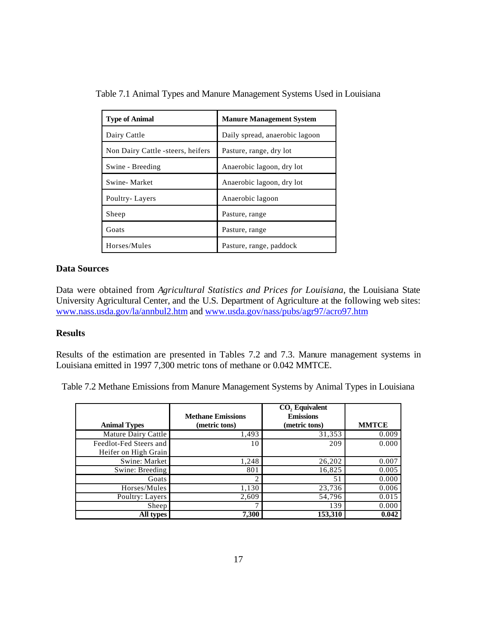| <b>Type of Animal</b>             | <b>Manure Management System</b> |
|-----------------------------------|---------------------------------|
| Dairy Cattle                      | Daily spread, anaerobic lagoon  |
| Non Dairy Cattle -steers, heifers | Pasture, range, dry lot         |
| Swine - Breeding                  | Anaerobic lagoon, dry lot       |
| Swine-Market                      | Anaerobic lagoon, dry lot       |
| Poultry-Layers                    | Anaerobic lagoon                |
| Sheep                             | Pasture, range                  |
| Goats                             | Pasture, range                  |
| Horses/Mules                      | Pasture, range, paddock         |

Table 7.1 Animal Types and Manure Management Systems Used in Louisiana

## **Data Sources**

Data were obtained from *Agricultural Statistics and Prices for Louisiana*, the Louisiana State University Agricultural Center, and the U.S. Department of Agriculture at the following web sites: www.nass.usda.gov/la/annbul2.htm and www.usda.gov/nass/pubs/agr97/acro97.htm

## **Results**

Results of the estimation are presented in Tables 7.2 and 7.3. Manure management systems in Louisiana emitted in 1997 7,300 metric tons of methane or 0.042 MMTCE.

Table 7.2 Methane Emissions from Manure Management Systems by Animal Types in Louisiana

| <b>Animal Types</b>        | <b>Methane Emissions</b><br>(metric tons) | $CO2$ Equivalent<br><b>Emissions</b><br>(metric tons) | <b>MMTCE</b> |
|----------------------------|-------------------------------------------|-------------------------------------------------------|--------------|
| <b>Mature Dairy Cattle</b> | 1,493                                     | 31,353                                                | 0.009        |
| Feedlot-Fed Steers and     | 10                                        | 209                                                   | 0.000        |
| Heifer on High Grain       |                                           |                                                       |              |
| Swine: Market              | 1,248                                     | 26,202                                                | 0.007        |
| Swine: Breeding            | 801                                       | 16,825                                                | 0.005        |
| Goats                      | 2                                         | 51                                                    | 0.000        |
| Horses/Mules               | 1,130                                     | 23,736                                                | 0.006        |
| Poultry: Layers            | 2,609                                     | 54,796                                                | 0.015        |
| Sheep                      |                                           | 139                                                   | 0.000        |
| All types                  | 7,300                                     | 153,310                                               | 0.042        |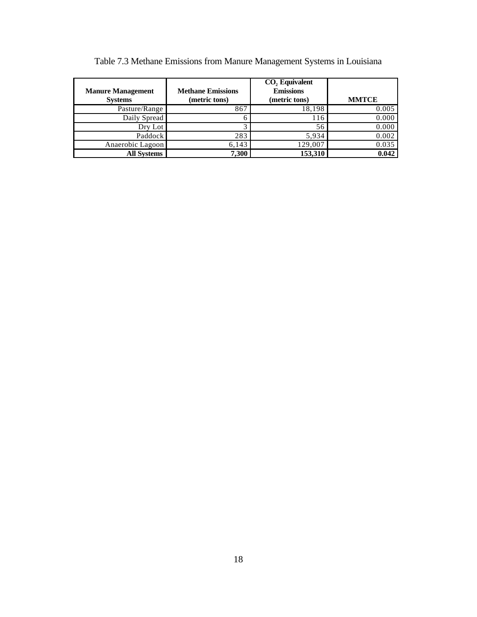| <b>Manure Management</b><br><b>Systems</b> | <b>Methane Emissions</b><br>(metric tons) | $CO2$ Equivalent<br><b>Emissions</b><br>(metric tons) | <b>MMTCE</b> |
|--------------------------------------------|-------------------------------------------|-------------------------------------------------------|--------------|
| Pasture/Range                              | 867                                       | 18,198                                                | 0.005        |
| Daily Spread                               |                                           | 116                                                   | 0.000        |
| Dry Lot                                    |                                           | 56                                                    | 0.000        |
| Paddock                                    | 283                                       | 5,934                                                 | 0.002        |
| Anaerobic Lagoon                           | 6,143                                     | 129,007                                               | 0.035        |
| <b>All Systems</b>                         | 7.300                                     | 153.310                                               | 0.042        |

Table 7.3 Methane Emissions from Manure Management Systems in Louisiana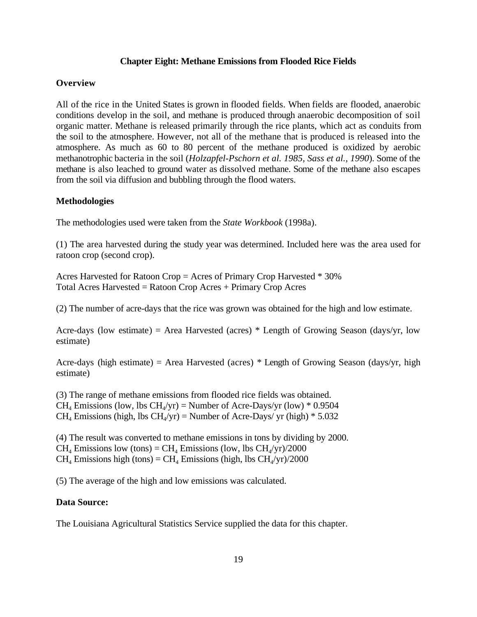# **Chapter Eight: Methane Emissions from Flooded Rice Fields**

## **Overview**

All of the rice in the United States is grown in flooded fields. When fields are flooded, anaerobic conditions develop in the soil, and methane is produced through anaerobic decomposition of soil organic matter. Methane is released primarily through the rice plants, which act as conduits from the soil to the atmosphere. However, not all of the methane that is produced is released into the atmosphere. As much as 60 to 80 percent of the methane produced is oxidized by aerobic methanotrophic bacteria in the soil (*Holzapfel-Pschorn et al. 1985, Sass et al., 1990*). Some of the methane is also leached to ground water as dissolved methane. Some of the methane also escapes from the soil via diffusion and bubbling through the flood waters.

# **Methodologies**

The methodologies used were taken from the *State Workbook* (1998a).

(1) The area harvested during the study year was determined. Included here was the area used for ratoon crop (second crop).

Acres Harvested for Ratoon Crop = Acres of Primary Crop Harvested \* 30% Total Acres Harvested = Ratoon Crop Acres + Primary Crop Acres

(2) The number of acre-days that the rice was grown was obtained for the high and low estimate.

Acre-days (low estimate) = Area Harvested (acres)  $*$  Length of Growing Season (days/yr, low estimate)

Acre-days (high estimate) = Area Harvested (acres)  $*$  Length of Growing Season (days/yr, high estimate)

(3) The range of methane emissions from flooded rice fields was obtained.  $CH<sub>4</sub>$  Emissions (low, lbs  $CH<sub>4</sub>/yr$ ) = Number of Acre-Days/yr (low) \* 0.9504  $CH<sub>4</sub>$  Emissions (high, lbs  $CH<sub>4</sub>/yr)$  = Number of Acre-Days/ yr (high) \* 5.032

(4) The result was converted to methane emissions in tons by dividing by 2000.  $CH_4$  Emissions low (tons) =  $CH_4$  Emissions (low, lbs  $CH_4$ /yr)/2000  $CH_4$  Emissions high (tons) =  $CH_4$  Emissions (high, lbs  $CH_4$ /yr)/2000

(5) The average of the high and low emissions was calculated.

#### **Data Source:**

The Louisiana Agricultural Statistics Service supplied the data for this chapter.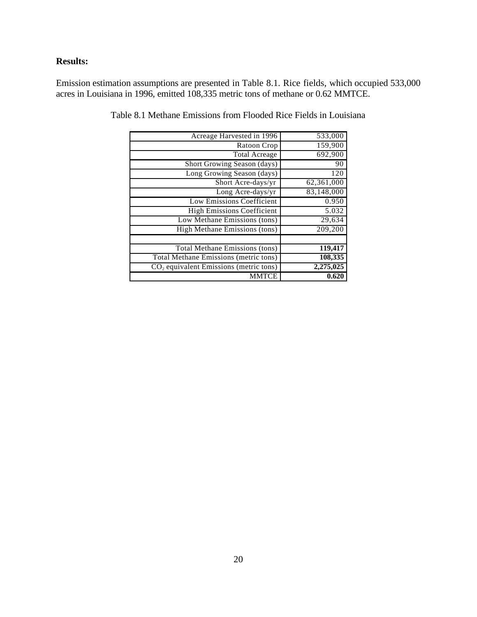# **Results:**

Emission estimation assumptions are presented in Table 8.1. Rice fields, which occupied 533,000 acres in Louisiana in 1996, emitted 108,335 metric tons of methane or 0.62 MMTCE.

| 533,000                   | Acreage Harvested in 1996                |
|---------------------------|------------------------------------------|
| 159,900                   | Ratoon Crop                              |
| 692,900                   | <b>Total Acreage</b>                     |
| 90                        | Short Growing Season (days)              |
| 120                       | Long Growing Season (days)               |
| 62,361,000                | Short Acre-days/yr                       |
| $\overline{83}, 148, 000$ | Long Acre-days/yr                        |
| 0.950                     | <b>Low Emissions Coefficient</b>         |
| 5.032                     | <b>High Emissions Coefficient</b>        |
| 29,634                    | Low Methane Emissions (tons)             |
| 209,200                   | High Methane Emissions (tons)            |
|                           |                                          |
| 119,417                   | Total Methane Emissions (tons)           |
| 108,335                   | Total Methane Emissions (metric tons)    |
| 2,275,025                 | $CO2$ equivalent Emissions (metric tons) |
| 0.620                     | <b>MMTCE</b>                             |

Table 8.1 Methane Emissions from Flooded Rice Fields in Louisiana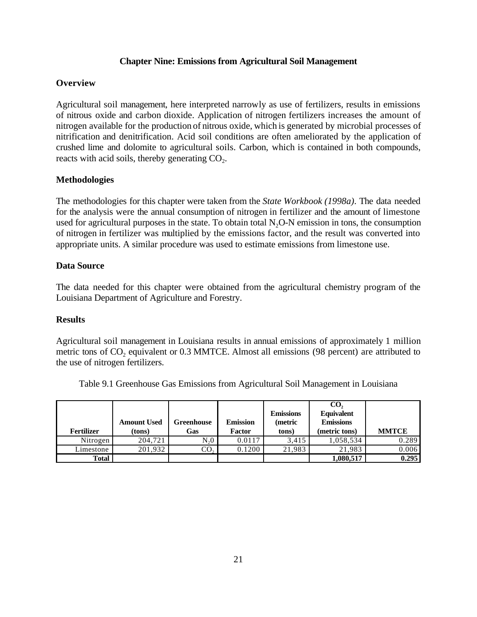#### **Chapter Nine: Emissions from Agricultural Soil Management**

# **Overview**

Agricultural soil management, here interpreted narrowly as use of fertilizers, results in emissions of nitrous oxide and carbon dioxide. Application of nitrogen fertilizers increases the amount of nitrogen available for the production of nitrous oxide, which is generated by microbial processes of nitrification and denitrification. Acid soil conditions are often ameliorated by the application of crushed lime and dolomite to agricultural soils. Carbon, which is contained in both compounds, reacts with acid soils, thereby generating  $CO<sub>2</sub>$ .

# **Methodologies**

The methodologies for this chapter were taken from the *State Workbook (1998a)*. The data needed for the analysis were the annual consumption of nitrogen in fertilizer and the amount of limestone used for agricultural purposes in the state. To obtain total  $N<sub>2</sub>O-N$  emission in tons, the consumption of nitrogen in fertilizer was multiplied by the emissions factor, and the result was converted into appropriate units. A similar procedure was used to estimate emissions from limestone use.

## **Data Source**

The data needed for this chapter were obtained from the agricultural chemistry program of the Louisiana Department of Agriculture and Forestry.

#### **Results**

Agricultural soil management in Louisiana results in annual emissions of approximately 1 million metric tons of CO<sub>2</sub> equivalent or 0.3 MMTCE. Almost all emissions (98 percent) are attributed to the use of nitrogen fertilizers.

| <b>Fertilizer</b> | <b>Amount Used</b><br>(tons) | Greenhouse<br>Gas | <b>Emission</b><br>Factor | <b>Emissions</b><br>(metric<br>tons) | $\mathbf{CO}_2$<br><b>Equivalent</b><br><b>Emissions</b><br>(metric tons) | <b>MMTCE</b> |
|-------------------|------------------------------|-------------------|---------------------------|--------------------------------------|---------------------------------------------------------------------------|--------------|
| Nitrogen          | 204,721                      | $N_{2}0$          | 0.0117                    | 3,415                                | .058,534                                                                  | 0.289        |
| Limestone         | 201,932                      | CO <sub>2</sub>   | 0.1200                    | 21,983                               | 21,983                                                                    | 0.006        |
| Total             |                              |                   |                           |                                      | 1.080.517                                                                 | 0.295        |

Table 9.1 Greenhouse Gas Emissions from Agricultural Soil Management in Louisiana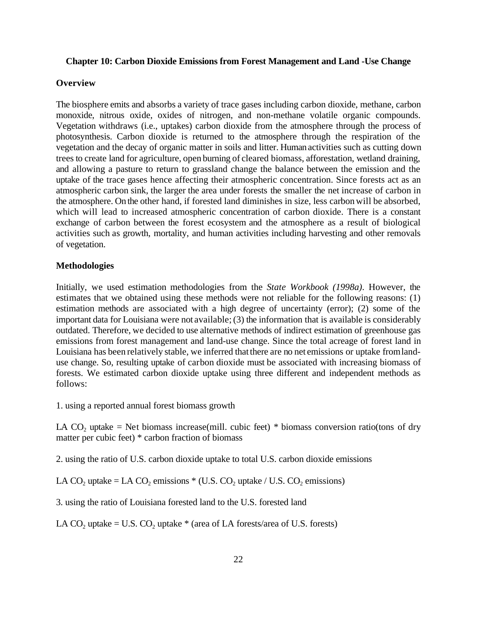#### **Chapter 10: Carbon Dioxide Emissions from Forest Management and Land -Use Change**

#### **Overview**

The biosphere emits and absorbs a variety of trace gases including carbon dioxide, methane, carbon monoxide, nitrous oxide, oxides of nitrogen, and non-methane volatile organic compounds. Vegetation withdraws (i.e., uptakes) carbon dioxide from the atmosphere through the process of photosynthesis. Carbon dioxide is returned to the atmosphere through the respiration of the vegetation and the decay of organic matter in soils and litter. Human activities such as cutting down trees to create land for agriculture, open burning of cleared biomass, afforestation, wetland draining, and allowing a pasture to return to grassland change the balance between the emission and the uptake of the trace gases hence affecting their atmospheric concentration. Since forests act as an atmospheric carbon sink, the larger the area under forests the smaller the net increase of carbon in the atmosphere. On the other hand, if forested land diminishes in size, less carbon will be absorbed, which will lead to increased atmospheric concentration of carbon dioxide. There is a constant exchange of carbon between the forest ecosystem and the atmosphere as a result of biological activities such as growth, mortality, and human activities including harvesting and other removals of vegetation.

#### **Methodologies**

Initially, we used estimation methodologies from the *State Workbook (1998a)*. However, the estimates that we obtained using these methods were not reliable for the following reasons: (1) estimation methods are associated with a high degree of uncertainty (error); (2) some of the important data for Louisiana were not available;(3) the information that is available is considerably outdated. Therefore, we decided to use alternative methods of indirect estimation of greenhouse gas emissions from forest management and land-use change. Since the total acreage of forest land in Louisiana has been relatively stable, we inferred that there are no net emissions or uptake from landuse change. So, resulting uptake of carbon dioxide must be associated with increasing biomass of forests. We estimated carbon dioxide uptake using three different and independent methods as follows:

1. using a reported annual forest biomass growth

LA CO<sub>2</sub> uptake = Net biomass increase(mill. cubic feet) \* biomass conversion ratio(tons of dry matter per cubic feet) \* carbon fraction of biomass

2. using the ratio of U.S. carbon dioxide uptake to total U.S. carbon dioxide emissions

LA  $CO_2$  uptake = LA  $CO_2$  emissions  $*$  (U.S.  $CO_2$  uptake / U.S.  $CO_2$  emissions)

3. using the ratio of Louisiana forested land to the U.S. forested land

LA CO<sub>2</sub> uptake = U.S. CO<sub>2</sub> uptake  $*$  (area of LA forests/area of U.S. forests)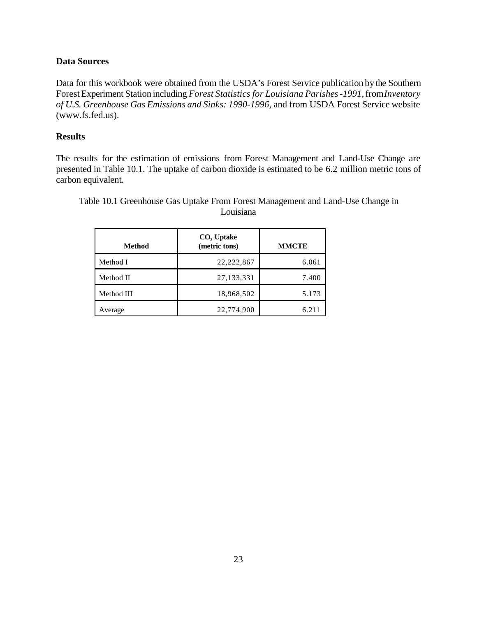# **Data Sources**

Data for this workbook were obtained from the USDA's Forest Service publication by the Southern Forest Experiment Station including *Forest Statistics for Louisiana Parishes-1991*,from*Inventory of U.S. Greenhouse Gas Emissions and Sinks: 1990-1996*, and from USDA Forest Service website (www.fs.fed.us).

# **Results**

The results for the estimation of emissions from Forest Management and Land-Use Change are presented in Table 10.1. The uptake of carbon dioxide is estimated to be 6.2 million metric tons of carbon equivalent.

| <b>Method</b> | $CO2$ Uptake<br>(metric tons) | <b>MMCTE</b> |
|---------------|-------------------------------|--------------|
| Method I      | 22, 222, 867                  | 6.061        |
| Method II     | 27, 133, 331                  | 7.400        |
| Method III    | 18,968,502                    | 5.173        |
| Average       | 22,774,900                    | 6.211        |

Table 10.1 Greenhouse Gas Uptake From Forest Management and Land-Use Change in Louisiana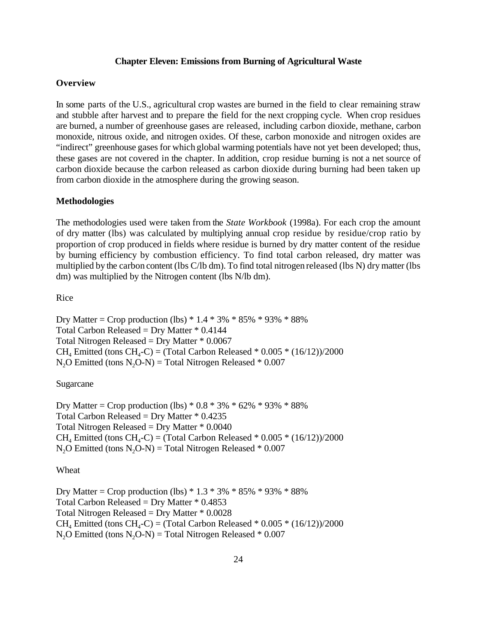#### **Chapter Eleven: Emissions from Burning of Agricultural Waste**

#### **Overview**

In some parts of the U.S., agricultural crop wastes are burned in the field to clear remaining straw and stubble after harvest and to prepare the field for the next cropping cycle. When crop residues are burned, a number of greenhouse gases are released, including carbon dioxide, methane, carbon monoxide, nitrous oxide, and nitrogen oxides. Of these, carbon monoxide and nitrogen oxides are "indirect" greenhouse gases for which global warming potentials have not yet been developed; thus, these gases are not covered in the chapter. In addition, crop residue burning is not a net source of carbon dioxide because the carbon released as carbon dioxide during burning had been taken up from carbon dioxide in the atmosphere during the growing season.

# **Methodologies**

The methodologies used were taken from the *State Workbook* (1998a). For each crop the amount of dry matter (lbs) was calculated by multiplying annual crop residue by residue/crop ratio by proportion of crop produced in fields where residue is burned by dry matter content of the residue by burning efficiency by combustion efficiency. To find total carbon released, dry matter was multiplied by the carbon content (lbs C/lb dm). To find total nitrogen released (lbs N) dry matter (lbs dm) was multiplied by the Nitrogen content (lbs N/lb dm).

Rice

Dry Matter = Crop production (lbs)  $* 1.4 * 3\% * 85\% * 93\% * 88\%$ Total Carbon Released = Dry Matter  $*$  0.4144 Total Nitrogen Released = Dry Matter \* 0.0067  $CH_4$  Emitted (tons  $CH_4$ -C) = (Total Carbon Released \* 0.005 \* (16/12))/2000  $N<sub>2</sub>O$  Emitted (tons  $N<sub>2</sub>O-N$ ) = Total Nitrogen Released \* 0.007

#### Sugarcane

Dry Matter = Crop production (lbs)  $*$  0.8  $*$  3%  $*$  62%  $*$  93%  $*$  88% Total Carbon Released = Dry Matter \* 0.4235 Total Nitrogen Released = Dry Matter \* 0.0040  $CH_4$  Emitted (tons  $CH_4$ -C) = (Total Carbon Released \* 0.005 \* (16/12))/2000  $N<sub>2</sub>O$  Emitted (tons  $N<sub>2</sub>O-N$ ) = Total Nitrogen Released \* 0.007

Wheat

Dry Matter = Crop production (lbs)  $* 1.3 * 3\% * 85\% * 93\% * 88\%$ Total Carbon Released = Dry Matter \* 0.4853 Total Nitrogen Released = Dry Matter \* 0.0028  $CH_4$  Emitted (tons  $CH_4$ -C) = (Total Carbon Released \* 0.005 \* (16/12))/2000  $N<sub>2</sub>O$  Emitted (tons  $N<sub>2</sub>O-N$ ) = Total Nitrogen Released \* 0.007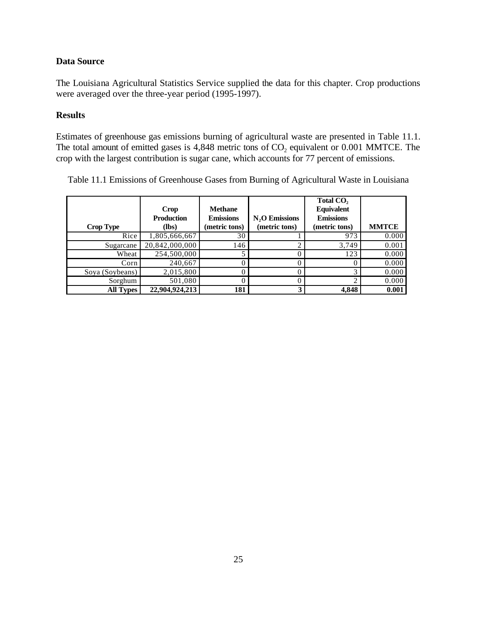# **Data Source**

The Louisiana Agricultural Statistics Service supplied the data for this chapter. Crop productions were averaged over the three-year period (1995-1997).

# **Results**

Estimates of greenhouse gas emissions burning of agricultural waste are presented in Table 11.1. The total amount of emitted gases is 4,848 metric tons of  $CO<sub>2</sub>$  equivalent or 0.001 MMTCE. The crop with the largest contribution is sugar cane, which accounts for 77 percent of emissions.

Table 11.1 Emissions of Greenhouse Gases from Burning of Agricultural Waste in Louisiana

|                  |                   |                  |                        | Total CO <sub>2</sub> |              |
|------------------|-------------------|------------------|------------------------|-----------------------|--------------|
|                  | Crop              | <b>Methane</b>   |                        | <b>Equivalent</b>     |              |
|                  | <b>Production</b> | <b>Emissions</b> | <b>N</b> , O Emissions | <b>Emissions</b>      |              |
| <b>Crop Type</b> | $(lbs)$           | (metric tons)    | (metric tons)          | (metric tons)         | <b>MMTCE</b> |
| Rice             | 1,805,666,667     | 30               |                        | 973                   | 0.000        |
| Sugarcane        | 20,842,000,000    | 146              |                        | 3,749                 | 0.001        |
| Wheat            | 254,500,000       |                  |                        | 123                   | 0.000        |
| Corn             | 240,667           |                  |                        |                       | 0.000        |
| Soya (Soybeans)  | 2,015,800         |                  |                        |                       | 0.000        |
| Sorghum          | 501,080           |                  |                        |                       | 0.000        |
| <b>All Types</b> | 22,904,924,213    | 181              | 3                      | 4,848                 | 0.001        |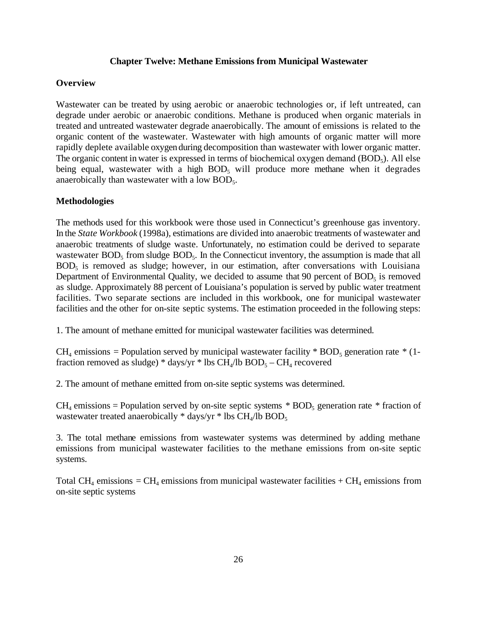#### **Chapter Twelve: Methane Emissions from Municipal Wastewater**

# **Overview**

Wastewater can be treated by using aerobic or anaerobic technologies or, if left untreated, can degrade under aerobic or anaerobic conditions. Methane is produced when organic materials in treated and untreated wastewater degrade anaerobically. The amount of emissions is related to the organic content of the wastewater. Wastewater with high amounts of organic matter will more rapidly deplete available oxygen during decomposition than wastewater with lower organic matter. The organic content in water is expressed in terms of biochemical oxygen demand (BOD<sub>5</sub>). All else being equal, wastewater with a high  $BOD<sub>5</sub>$  will produce more methane when it degrades anaerobically than wastewater with a low  $BOD<sub>5</sub>$ .

# **Methodologies**

The methods used for this workbook were those used in Connecticut's greenhouse gas inventory. In the *State Workbook* (1998a)*,* estimations are divided into anaerobic treatments of wastewater and anaerobic treatments of sludge waste. Unfortunately, no estimation could be derived to separate wastewater  $BOD_5$  from sludge  $BOD_5$ . In the Connecticut inventory, the assumption is made that all  $BOD<sub>5</sub>$  is removed as sludge; however, in our estimation, after conversations with Louisiana Department of Environmental Quality, we decided to assume that  $90$  percent of  $BOD<sub>5</sub>$  is removed as sludge. Approximately 88 percent of Louisiana's population is served by public water treatment facilities. Two separate sections are included in this workbook, one for municipal wastewater facilities and the other for on-site septic systems. The estimation proceeded in the following steps:

1. The amount of methane emitted for municipal wastewater facilities was determined*.*

CH<sub>4</sub> emissions = Population served by municipal wastewater facility  $*$  BOD<sub>5</sub> generation rate  $*$  (1fraction removed as sludge) \* days/yr \* lbs  $\rm CH_{4}/lb\ BOD_{5} - CH_{4}$  recovered

2. The amount of methane emitted from on-site septic systems was determined.

 $CH_4$  emissions = Population served by on-site septic systems  $* BOD_5$  generation rate  $*$  fraction of wastewater treated anaerobically  $*$  days/yr  $*$  lbs CH<sub>4</sub>/lb BOD<sub>5</sub>

3. The total methane emissions from wastewater systems was determined by adding methane emissions from municipal wastewater facilities to the methane emissions from on-site septic systems.

Total CH<sub>4</sub> emissions = CH<sub>4</sub> emissions from municipal wastewater facilities + CH<sub>4</sub> emissions from on-site septic systems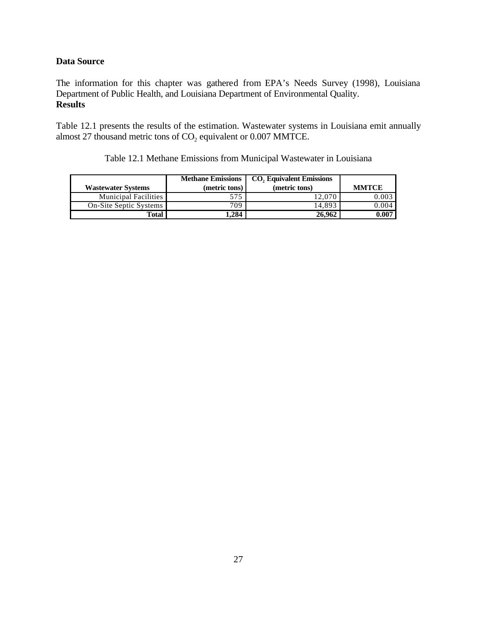# **Data Source**

The information for this chapter was gathered from EPA's Needs Survey (1998), Louisiana Department of Public Health, and Louisiana Department of Environmental Quality. **Results**

Table 12.1 presents the results of the estimation. Wastewater systems in Louisiana emit annually almost 27 thousand metric tons of  $CO<sub>2</sub>$  equivalent or 0.007 MMTCE.

| <b>Wastewater Systems</b>     | <b>Methane Emissions</b><br>$(metric \t{tons})$ | <b>CO.</b> Equivalent Emissions<br>(metric tons) | <b>MMTCE</b> |
|-------------------------------|-------------------------------------------------|--------------------------------------------------|--------------|
| Municipal Facilities          |                                                 | 12.070                                           | 0.003        |
| <b>On-Site Septic Systems</b> | 709                                             | 14.893                                           | 0.004        |
| Total.                        | .284                                            | 26.962                                           | 0.007        |

Table 12.1 Methane Emissions from Municipal Wastewater in Louisiana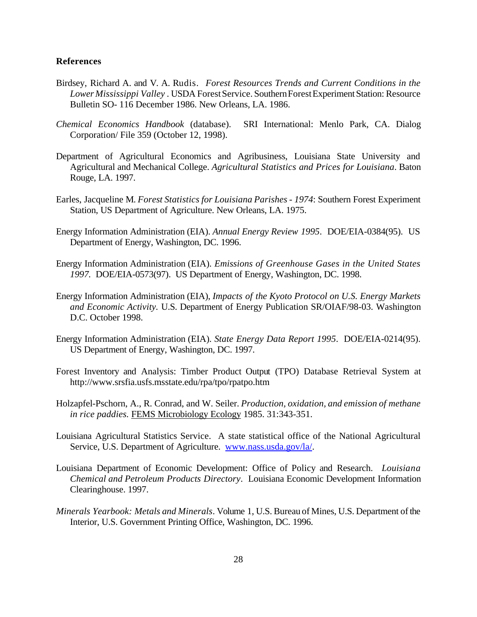#### **References**

- Birdsey, Richard A. and V. A. Rudis. *Forest Resources Trends and Current Conditions in the Lower Mississippi Valley* . USDA Forest Service. Southern Forest Experiment Station: Resource Bulletin SO- 116 December 1986. New Orleans, LA. 1986.
- *Chemical Economics Handbook* (database). SRI International: Menlo Park, CA. Dialog Corporation/ File 359 (October 12, 1998).
- Department of Agricultural Economics and Agribusiness, Louisiana State University and Agricultural and Mechanical College. *Agricultural Statistics and Prices for Louisiana*. Baton Rouge, LA. 1997.
- Earles, Jacqueline M. *Forest Statistics for Louisiana Parishes - 1974*: Southern Forest Experiment Station, US Department of Agriculture. New Orleans, LA. 1975.
- Energy Information Administration (EIA). *Annual Energy Review 1995*. DOE/EIA-0384(95). US Department of Energy, Washington, DC. 1996.
- Energy Information Administration (EIA). *Emissions of Greenhouse Gases in the United States 1997.* DOE/EIA-0573(97). US Department of Energy, Washington, DC. 1998.
- Energy Information Administration (EIA), *Impacts of the Kyoto Protocol on U.S. Energy Markets and Economic Activity.* U.S. Department of Energy Publication SR/OIAF/98-03. Washington D.C. October 1998.
- Energy Information Administration (EIA). *State Energy Data Report 1995*. DOE/EIA-0214(95). US Department of Energy, Washington, DC. 1997.
- Forest Inventory and Analysis: Timber Product Output (TPO) Database Retrieval System at http://www.srsfia.usfs.msstate.edu/rpa/tpo/rpatpo.htm
- Holzapfel-Pschorn, A., R. Conrad, and W. Seiler. *Production, oxidation, and emission of methane in rice paddies.* FEMS Microbiology Ecology 1985. 31:343-351.
- Louisiana Agricultural Statistics Service. A state statistical office of the National Agricultural Service, U.S. Department of Agriculture. www.nass.usda.gov/la/.
- Louisiana Department of Economic Development: Office of Policy and Research. *Louisiana Chemical and Petroleum Products Directory*. Louisiana Economic Development Information Clearinghouse. 1997.
- *Minerals Yearbook: Metals and Minerals*. Volume 1, U.S. Bureau of Mines, U.S. Department ofthe Interior, U.S. Government Printing Office, Washington, DC. 1996.